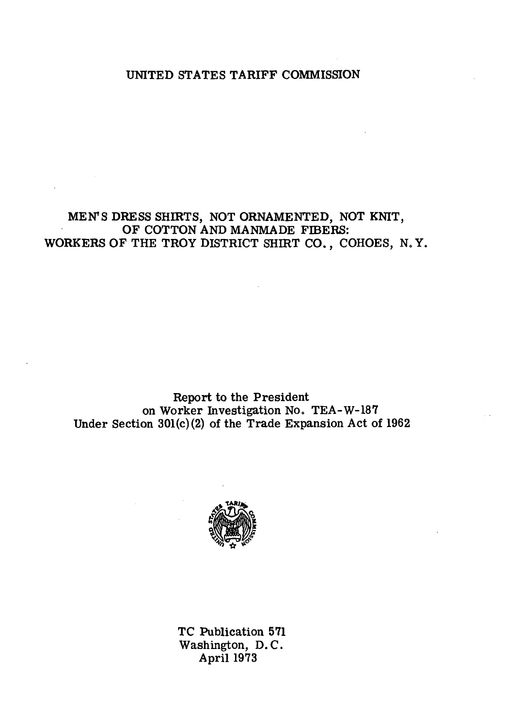UNITED STATES TARIFF COMMISSION

# MEN'S DRESS SHIRTS, NOT ORNAMENTED, NOT KNIT, OF COTTON AND MANMADE FIBERS: WORKERS OF THE TROY DISTRICT SHIRT CO., COHOES, N.Y.

Report to the President on Worker Investigation No. TEA-W-187 Under Section 30l(c) (2) of the Trade Expansion Act of 1962



TC Publication 571 Washington, D. C. April 1973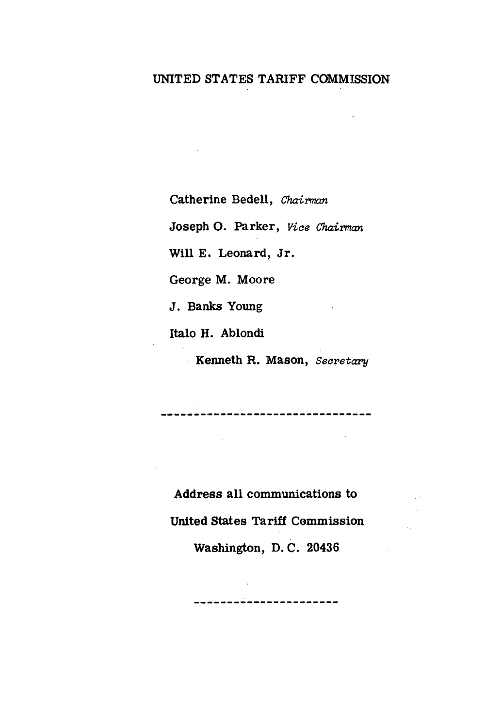# UNITED STATES TARIFF COMMISSION

Catherine Bedell, *Chairman* 

Joseph O. Parker, Vice Chairman

Will E. Leonard, Jr.

George M. Moore

J. Banks Young

Italo H. Ablondi

 $\ddot{\phantom{a}}$ 

Kenneth R. Mason, Secretary

 $\mathcal{L}^{\text{max}}_{\text{max}}$  , where  $\mathcal{L}^{\text{max}}_{\text{max}}$ 

.......................

Address all communications to United States Tariff Commission Washington, D. C. 20436

\_\_\_\_\_\_\_\_\_\_\_\_\_\_\_\_\_\_\_\_\_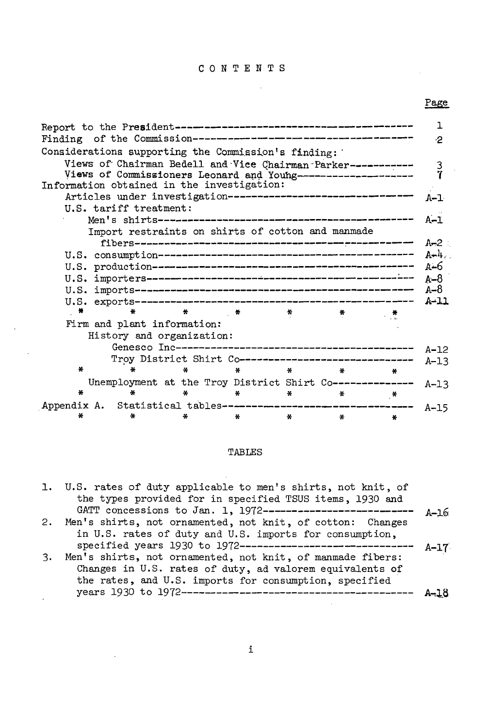# C 0 N T E N T S

 $\mathcal{L}^{\text{max}}_{\text{max}}$ 

# Page

 $\bar{z}$ 

|                                                                                                    | 1             |
|----------------------------------------------------------------------------------------------------|---------------|
|                                                                                                    | -2            |
| Considerations supporting the Commission's finding:                                                |               |
| Views of Chairman Bedell and Vice Chairman Parker-----------                                       | $\frac{3}{7}$ |
| Views of Commissioners Leonard and Young--------------------                                       |               |
| Information obtained in the investigation:                                                         |               |
| Articles under investigation------------------------------<br>U.S. tariff treatment:               | $A-1$         |
|                                                                                                    | $A - I$       |
| Import restraints on shirts of cotton and manmade                                                  |               |
|                                                                                                    | $A - 2$       |
|                                                                                                    | $A - 4$ .     |
|                                                                                                    | A-6           |
|                                                                                                    | $A-8$         |
|                                                                                                    | 8–A           |
|                                                                                                    | $A - 11$      |
| ₩<br>₩<br>₩<br>$\ast$<br>一条<br>₩<br>$\mathcal{L}$                                                  |               |
| Firm and plant information:                                                                        |               |
| History and organization:                                                                          |               |
|                                                                                                    | $A - 12$      |
| Troy District Shirt Co------------------------------<br>÷                                          | $A - 13$      |
| ÷<br>₩<br>$\ast$<br>¥<br>₩<br>₩                                                                    |               |
| Unemployment at the Troy District Shirt Co--------------<br>$\ast$<br>¥<br>¥.<br>$\ast$<br>₩<br>÷. | $A-13$        |
| $*$<br>Appendix A. Statistical tables--------------------------------                              |               |
| ¥<br>∗<br>¥<br>÷.<br>$\ast$<br>$\ast$<br>÷.                                                        | $A-15$        |
|                                                                                                    |               |

 $\sim$ 

 $\ddot{\phantom{a}}$ 

# TABLES

| $A - 16$                                                                                                                |
|-------------------------------------------------------------------------------------------------------------------------|
|                                                                                                                         |
|                                                                                                                         |
| $A-17$                                                                                                                  |
|                                                                                                                         |
|                                                                                                                         |
|                                                                                                                         |
|                                                                                                                         |
| GATT concessions to Jan. 1, 1972------------------------<br>specified years 1930 to 1972------------------------------- |

 $\sim 10^7$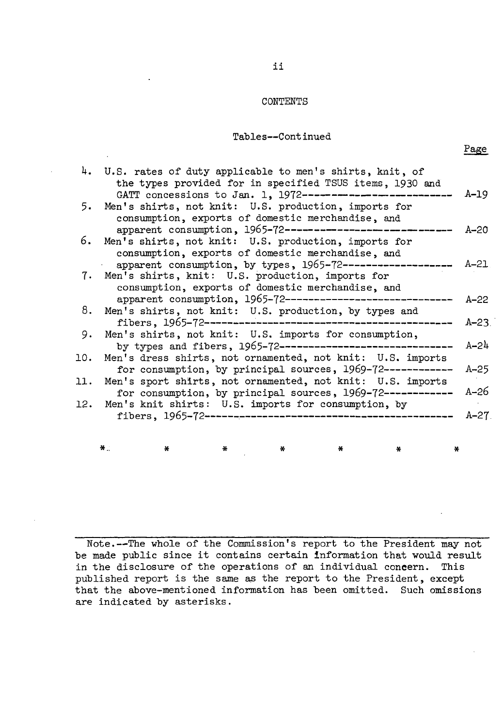#### CONTENTS

## Tables--Continued

\*

|     | 4. U.S. rates of duty applicable to men's shirts, knit, of                                     |            |
|-----|------------------------------------------------------------------------------------------------|------------|
|     | the types provided for in specified TSUS items, 1930 and                                       | $A-19$     |
|     | GATT concessions to Jan. 1, 1972--------------------------                                     |            |
| 5.  | Men's shirts, not knit: U.S. production, imports for                                           |            |
|     | consumption, exports of domestic merchandise, and<br>apparent consumption, 1965-72------------ | $A - 20$   |
| 6.  | Men's shirts, not knit: U.S. production, imports for                                           |            |
|     | consumption, exports of domestic merchandise, and                                              |            |
|     | apparent consumption, by types, 1965-72-------------------                                     | $A-21$     |
|     | 7. Men's shirts, knit: U.S. production, imports for                                            |            |
|     | consumption, exports of domestic merchandise, and                                              |            |
|     | apparent consumption, 1965-72------------------------------                                    | $A - 22$   |
| 8.  | Men's shirts, not knit: U.S. production, by types and                                          |            |
|     | fibers, $1965 - 72 - - - - -$                                                                  | $A - 23$ . |
| 9.  | Men's shirts, not knit: U.S. imports for consumption,                                          |            |
|     | by types and fibers, 1965-72-------------------------                                          | $A - 24$   |
| 10. | Men's dress shirts, not ornamented, not knit: U.S. imports                                     |            |
|     | for consumption, by principal sources, 1969-72------------                                     | $A - 25$   |
| 11. | Men's sport shirts, not ornamented, not knit: U.S. imports                                     |            |
|     | for consumption, by principal sources, 1969-72------------                                     | A–26       |
|     | 12. Men's knit shirts: U.S. imports for consumption, by                                        |            |
|     |                                                                                                | $A - 27$ . |

Note.--The whole of the Commission's report to the President may not be made public since it contains certain information that would result in the disclosure of the operations of an individual concern. This in the disclosure of the operations of an individual concern. published report is the same as the report to the President, except that the above-mentioned information has been omitted. Such omissions are indicated by asterisks.

\* \* \* \* \* \*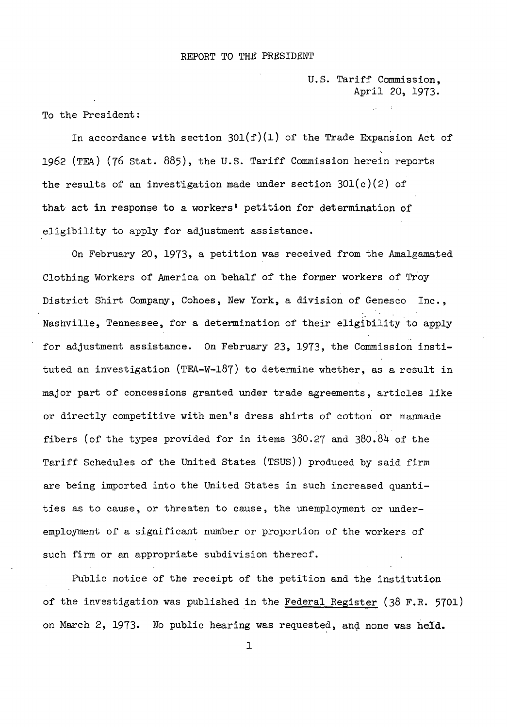U.S. Tariff Commission, April 20, 1973.

To the President:

In accordance with section  $301(f)(1)$  of the Trade Expansion Act of 1962 (TEA) (76 Stat. 885), the U.S. Tariff Commission herein reports the results of an investigation made under section  $301(c)(2)$  of that act in response to a workers' petition for determination of eligibility to apply for adjustment assistance.

On February 20, 1973, a petition was received from the Amalgamated Clothing Workers of America on behalf of the former workers of Troy District Shirt Company, Cohoes, New York, a division of Genesco Inc., Nashville, Tennessee, for a determination of their eligibility to apply for adjustment assistance. On February 23, 1973, the Commission instituted an investigation (TEA-W-187) to determine whether, as a result in major part of concessions granted under trade agreements, articles like or directly competitive with men's dress shirts of cotton or manmade fibers (of the types provided for in items 380.27 and 380.84 of the Tariff Schedules of the United States (TSUS)) produced by said firm are being imported into the United States in such increased quantities as to cause, or threaten to cause, the unemployment or underemployment of a significant number or proportion of the workers of such firm or an appropriate subdivision thereof.

Public notice of the receipt of the petition and the institution of the investigation was published in the Federal Register (38 F.R. 5701) on March 2, 1973. No public hearing was requested, and none was held.

1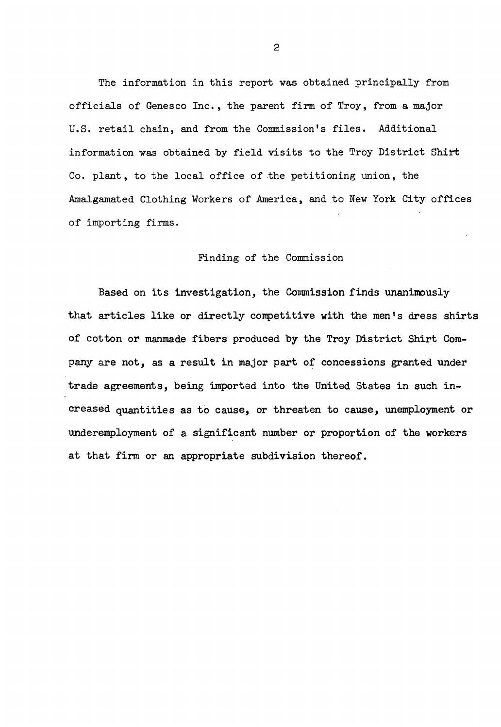The information in this report was obtained principally from officials of Genesco Inc., the parent firm of Troy, from a major U.S. retail chain, and from the Commission's files. Additional information was obtained by field visits to the Troy District Shirt Co. plant, to the local office of the petitioning union, the Amalgamated Clothing Workers of America, and to New York City offices of importing firms.

#### Finding of the Commission

Based on its investigation, the Commission finds unanimously that articles like or directly competitive with the men's dress shirts of cotton or manmade fibers produced by the Troy District Shirt Company are not, as a result in major part of concessions granted under trade agreements, being imported into the United States in such increased quantities as to cause, or threaten to cause, unemployment or underemployment of a significant number or proportion of the workers at that firm or an appropriate subdivision thereof.

2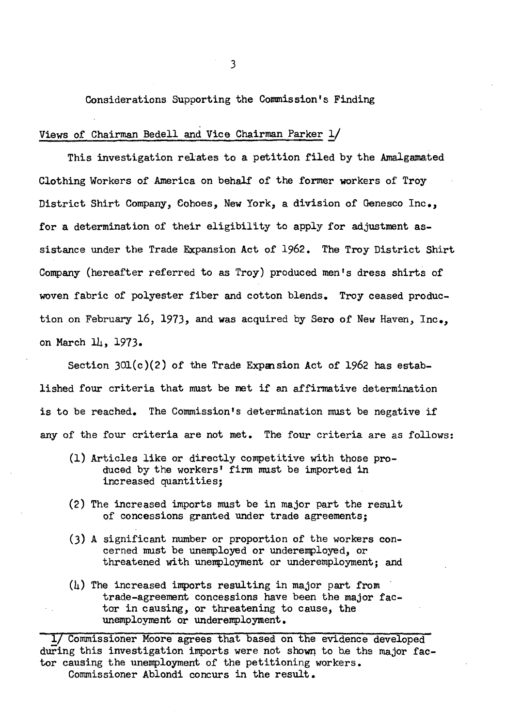Considerations Supporting the Commission's Finding

Views of Chairman Bedell and Vice Chairman Parker !/

This investigation relates to a petition filed by the Amalgamated Clothing Workers of America on behalf of the former workers of Troy District Shirt Company, Cohoes, New York, a division of Genesco Inc., for a determination of their eligibility to apply for adjustment assistance under the Trade Expansion Act of 1962. The Troy District Shirt Company (hereafter referred to as Troy) produced men's dress shirts of woven fabric of polyester fiber and cotton blends. Troy ceased production on February 16, 1973, and was acquired by Sero of New Haven, Inc., on March 14, 1973.

Section  $301(c)(2)$  of the Trade Expansion Act of 1962 has established four criteria that must be met if an affirmative determination is to be reached. The Commission's determination must be negative if any of the four criteria are not met. The four criteria are as follows:

- (1) Articles like or directly competitive with those produced by the workers' firm must be imported in increased quantities;
- (2) The increased imports must be in major part the result of concessions granted under trade agreements;
- (3) A significant number or proportion of the workers concerned must be unemployed or underemployed, or threatened with unemployment or underemployment; and
- $(L)$  The increased imports resulting in major part from trade-agreement concessions have been the major factor in causing, or threatening to cause, the unemployment or underemployment.

1/ Commissioner Moore agrees that basee on the evidence developed during this investigation imports were not shown to be the major factor causing the unemployment of the petitioning workers. Commissioner Ablondi concurs in the result.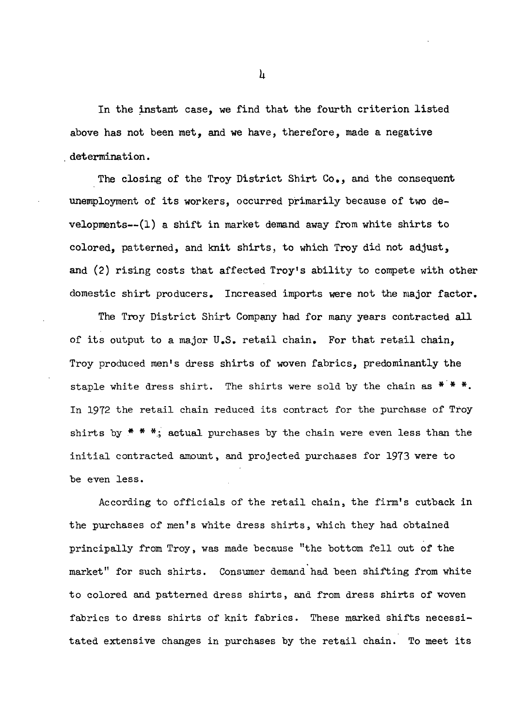In the instant case, we find that the fourth criterion listed above has not been met, and we have, therefore, made a negative determination.

The closing of the Troy District Shirt Co., and the consequent unemployment of its workers, occurred primarily because of two developments--(1) a shift in market demand away from white shirts to colored, patterned, and knit shirts, to which Troy did not adjust, and (2) rising costs that affected Troy's ability to compete with other domestic shirt producers. Increased imports were not the major factor.

The Troy District Shirt Company had for many years contracted all of its output to a major U.S. retail chain. For that retail chain, Troy produced men's dress shirts of woven fabrics, predominantly the staple white dress shirt. The shirts were sold by the chain as  $* * *$ . In 1972 the retail chain reduced its contract for the purchase of Troy shirts by  $* * *$ ; actual purchases by the chain were even less than the initial contracted amount, and projected purchases for 1973 were to be even less.

According to officials of the retail chain, the firm's cutback in the purchases of men's white dress shirts, which they had obtained principally from Troy, was made because "the bottom fell out of the market" for such shirts. Consumer demand had been shifting from white to colored and patterned dress shirts, and from dress shirts of woven fabrics to dress shirts of knit fabrics. These marked shifts necessitated extensive changes in purchases by the retail chain. To meet its

 $\mathbf{h}$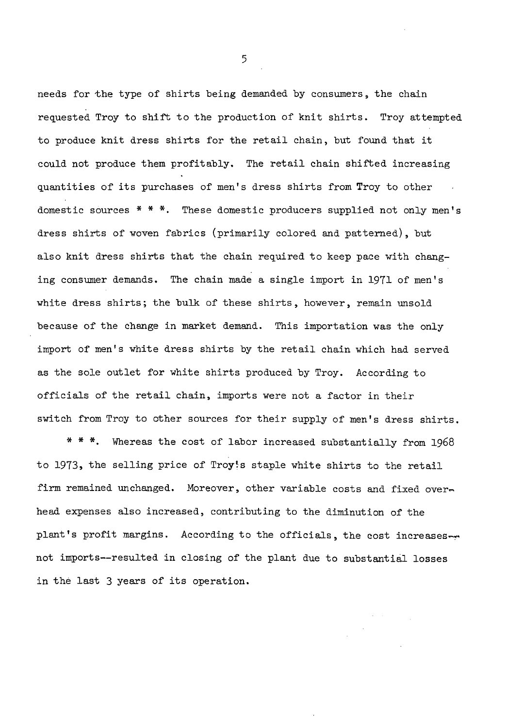needs for the type of shirts being demanded by consumers, the chain requested Troy to shift to the production of knit shirts. Troy attempted to produce knit dress shirts for the retail chain, but found that it could not produce them profitably. The retail chain shifted increasing quantities of its purchases of men's dress shirts from Troy to other domestic sources \* \* \*. These domestic producers supplied not only men's dress shirts of woven fabrics (primarily colored and patterned), but also knit dress shirts that the chain required to keep pace with changing consumer demands. The chain made a single import in 1971 of men's white dress shirts; the bulk of these shirts, however, remain unsold because of the change in market demand. This importation was the only import of men's white dress shirts by the retail chain which had served as the sole outlet for white shirts produced by Troy. According to officials of the retail chain, imports were not a factor in their switch from Troy to other sources for their supply of men's dress shirts.

\* \* \*· Whereas the cost of labor increased substantially from 1968 to 1973, the selling price of Troy!s staple white shirts to the retail firm remained unchanged. Moreover, other variable costs and fixed overhead expenses also increased, contributing to the diminution of the plant's profit margins. According to the officials, the cost increases-~ not imports--resulted in closing of the plant due to substantial losses in the last 3 years of its operation.

5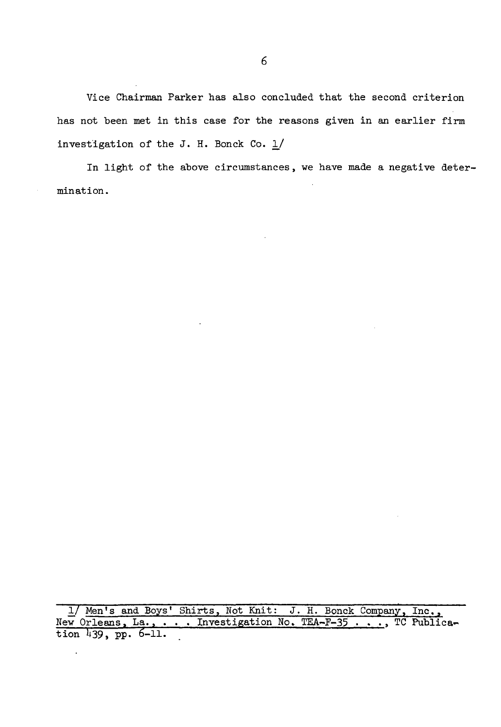Vice Chairman Parker has also concluded that the second criterion has not been met in this case for the reasons given in an earlier firm investigation of the J. H. Bonck Co.  $\underline{1}/$ 

In light of the above circumstances, we have made a negative determination.

1/ Men's and Boys' Shirts, Not Knit: J. H. Bonck Company, Inc., New Orleans, La., . . Investigation No. TEA-F-35 . . . , TC Publication 439, pp. 6-11.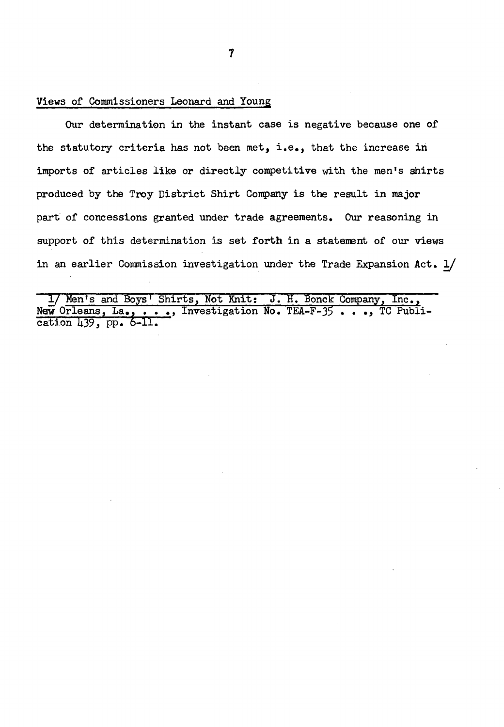### Views of Commissioners Leonard and Young

Our determination in the instant case is negative because one of the statutory criteria has not been met, i.e., that the increase in imports of articles like or directly competitive with the men's shirts produced by the Troy District Shirt Company is the result in major part of concessions granted under trade agreements. Our reasoning in support of this determination is set forth in a statement of our views in an earlier Commission investigation under the Trade Expansion Act. 1/

1/ Men's and Boys' Shirts, Not Knit: J. H. Bonck Company, Inc.,<br>New Orleans, La., ..., Investigation No. TEA-F-35 ..., TC Publication  $439$ , pp.  $6-11$ .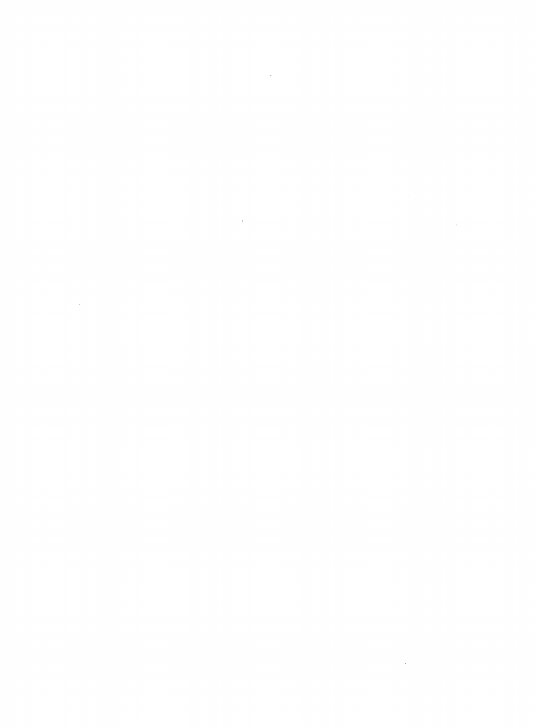$\label{eq:2.1} \frac{1}{\sqrt{2}}\int_{\mathbb{R}^3}\frac{1}{\sqrt{2}}\left(\frac{1}{\sqrt{2}}\right)^2\frac{1}{\sqrt{2}}\left(\frac{1}{\sqrt{2}}\right)^2\frac{1}{\sqrt{2}}\left(\frac{1}{\sqrt{2}}\right)^2\frac{1}{\sqrt{2}}\left(\frac{1}{\sqrt{2}}\right)^2.$ 

 $\label{eq:2.1} \mathcal{L}(\mathcal{L}^{\text{max}}_{\mathcal{L}}(\mathcal{L}^{\text{max}}_{\mathcal{L}}))\leq \mathcal{L}(\mathcal{L}^{\text{max}}_{\mathcal{L}}(\mathcal{L}^{\text{max}}_{\mathcal{L}}))$  $\label{eq:2.1} \frac{1}{\sqrt{2}}\int_{\mathbb{R}^3}\frac{1}{\sqrt{2}}\left(\frac{1}{\sqrt{2}}\right)^2\frac{1}{\sqrt{2}}\left(\frac{1}{\sqrt{2}}\right)^2\frac{1}{\sqrt{2}}\left(\frac{1}{\sqrt{2}}\right)^2\frac{1}{\sqrt{2}}\left(\frac{1}{\sqrt{2}}\right)^2.$  $\label{eq:2.1} \frac{1}{2} \sum_{i=1}^n \frac{1}{2} \sum_{j=1}^n \frac{1}{2} \sum_{j=1}^n \frac{1}{2} \sum_{j=1}^n \frac{1}{2} \sum_{j=1}^n \frac{1}{2} \sum_{j=1}^n \frac{1}{2} \sum_{j=1}^n \frac{1}{2} \sum_{j=1}^n \frac{1}{2} \sum_{j=1}^n \frac{1}{2} \sum_{j=1}^n \frac{1}{2} \sum_{j=1}^n \frac{1}{2} \sum_{j=1}^n \frac{1}{2} \sum_{j=1}^n \frac{$ 

 $\mathcal{L}(\mathcal{A})$  and  $\mathcal{L}(\mathcal{A})$ 

 $\label{eq:2.1} \frac{1}{\sqrt{2}}\left(\frac{1}{\sqrt{2}}\right)^{2} \left(\frac{1}{\sqrt{2}}\right)^{2} \left(\frac{1}{\sqrt{2}}\right)^{2} \left(\frac{1}{\sqrt{2}}\right)^{2} \left(\frac{1}{\sqrt{2}}\right)^{2} \left(\frac{1}{\sqrt{2}}\right)^{2} \left(\frac{1}{\sqrt{2}}\right)^{2} \left(\frac{1}{\sqrt{2}}\right)^{2} \left(\frac{1}{\sqrt{2}}\right)^{2} \left(\frac{1}{\sqrt{2}}\right)^{2} \left(\frac{1}{\sqrt{2}}\right)^{2} \left(\$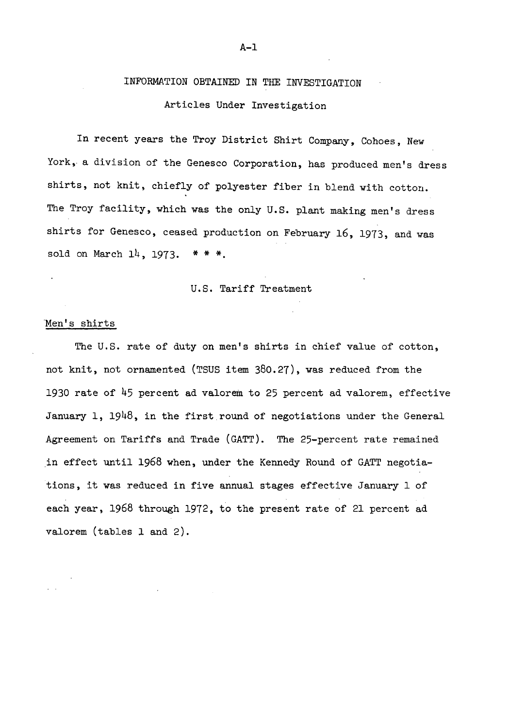# INFORMATION OBTAINED IN THE INVESTIGATION Articles Under Investigation

In recent years the Troy District Shirt Company, Cohoes, New York, a division of the Genesco Corporation, has produced men's dress shirts, not knit, chiefly of polyester fiber in blend with cotton. The Troy facility, which was the only U.S. plant making men's dress shirts for Genesco, ceased production on February 16, 1973, and was sold on March  $14$ , 1973. \* \* \*.

#### U.S. Tariff Treatment

#### Men's shirts

The U.S. rate of duty on men's shirts in chief value of cotton, not knit, not ornamented (TSUS item 380.27), was reduced from the 1930 rate of  $45$  percent ad valorem to 25 percent ad valorem, effective January 1, 1948, in the first round of negotiations under the General Agreement on Tariffs and Trade (GATT). The 25-percent rate remained in effect until 1968 when, under the Kennedy Round of GATT negotiations, it was reduced in five annual stages effective January 1 of each year, 1968 through 1972, to the present rate of 21 percent ad valorem (tables 1 and 2).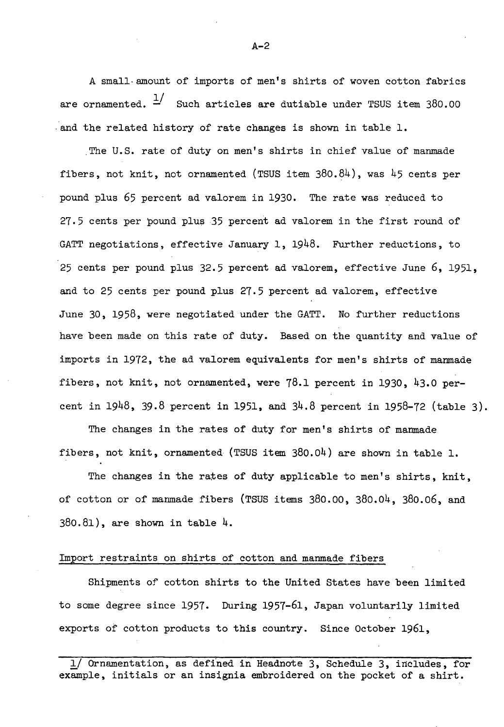A small-amount of imports of men's shirts of woven cotton fabrics are ornamented.  $\frac{1}{ }$  Such articles are dutiable under TSUS item 380.00 and the related history of rate changes is shown in table  $l$ .

. The U.S. rate of duty on men's shirts in chief value of manmade fibers, not knit, not ornamented (TSUS item 380.84), was 45 cents per pound plus 65 percent ad valorem in 1930. The rate was reduced to 27.5 cents per pound plus 35 percent ad valorem in the first round of GATT negotiations, effective January 1,  $1948$ . Further reductions, to 25 cents per pound plus 32.5 percent ad valorem, effective June 6, 1951, and to 25 cents per pound plus 27.5 percent ad valorem, effective June 30, 1958, were negotiated under the GATT. No further reductions have been made on this rate of duty. Based on the quantity and value of imports in 1972, the ad valorem equivalents for men's shirts of manmade fibers, not knit, not ornamented, were 78.1 percent in 1930, 43.0 percent in 1948, 39.8 percent in 1951, and 34.8 percent in 1958-72 (table 3).

The changes in the rates of duty for men's shirts of manmade fibers, not knit, ornamented (TSUS item 380.04) are shown in table 1.

The changes in the rates of duty applicable to men's shirts, knit, of cotton or of manmade fibers (TSUS items  $380.00$ ,  $380.04$ ,  $380.06$ , and  $380.81$ , are shown in table 4.

## Import restraints on shirts of cotton and manmade fibers

Shipments of cotton shirts to the United States have been limited to some degree since 1957. During 1957-61, Japan voluntarily limited exports *of* cotton products to this country. Since October 1961,

 $A - 2$ 

Ornamentation, as defined in Headnote 3, Schedule 3, includes, for example, initials or an insignia embroidered on the pocket of a shirt.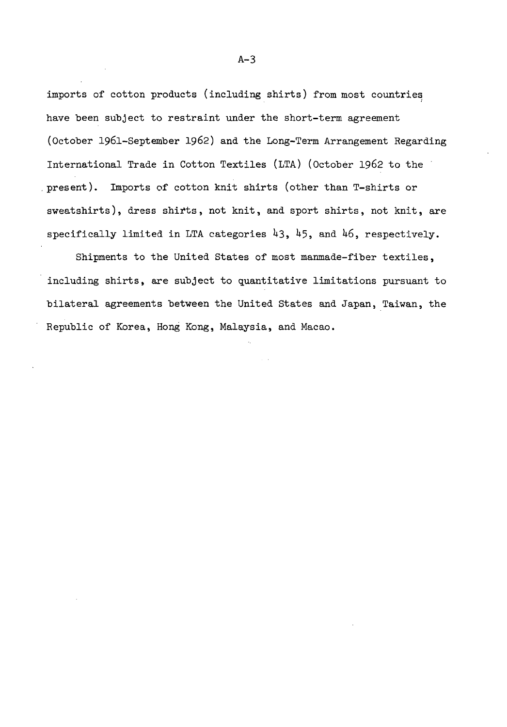imports of cotton products (including shirts) from most countries have been subject to restraint under the short-term agreement (October 1961-September 1962) and the Long-Term Arrangement Regarding International Trade in Cotton Textiles (LTA) (October 1962 to the . present). Imports of cotton knit shirts (other than T-shirts or sweatshirts), dress shirts, not knit, and sport shirts, not knit, are specifically limited in LTA categories  $43, 45,$  and  $46$ , respectively.

Shipments to the United States of most manmade-fiber textiles, including shirts, are subject to quantitative limitations pursuant to bilateral agreements between the United States and Japan, Taiwan, the Republic of Korea, Hong Kong, Malaysia, and Macao.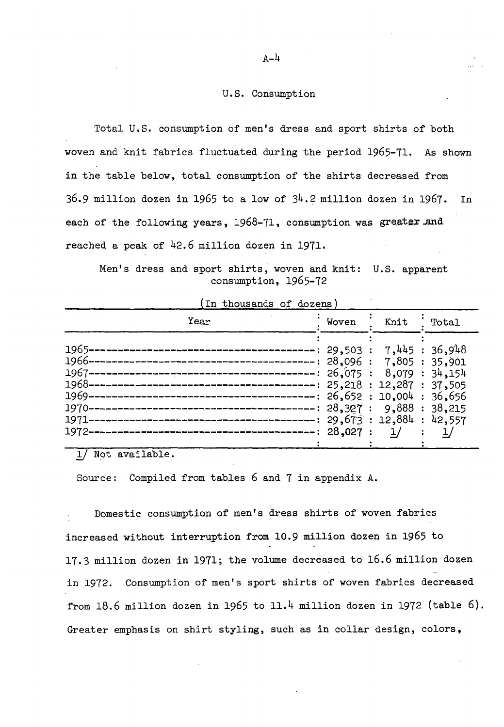#### U.S. Consumption

Total U.S. consumption of men's dress and sport shirts of both woven and knit fabrics fluctuated during the period 1965-71. As shown in the table below, total consumption of the shirts decreased from 36.9 million dozen in 1965 to a low of  $34.2$  million dozen in 1967. In each of the following years, 1968-71, consumption was greater and reached a peak of 42.6 million dozen in 1971.

Men's dress and sport shirts, woven and knit: U.S. apparent consumption, 1965-72

| un tnousanus or dozens) |       |      |       |
|-------------------------|-------|------|-------|
| Year                    | Woven | Knit | Total |
|                         |       |      |       |

(In thousands of dozens)

l/ Not available.

Source: Compiled from tables 6 and 7 in appendix A.

Domestic consumption of men's dress shirts of woven fabrics increased without interruption from 10.9 million dozen in 1965 to 17.3 million dozen in 1971; the volume decreased to 16.6 million dozen in 1972. Consumption of men's sport shirts of woven fabrics decreased from 18.6 million dozen in 1965 to 11.4 million dozen in 1972 (table 6). Greater emphasis on shirt styling, such as in collar design, colors,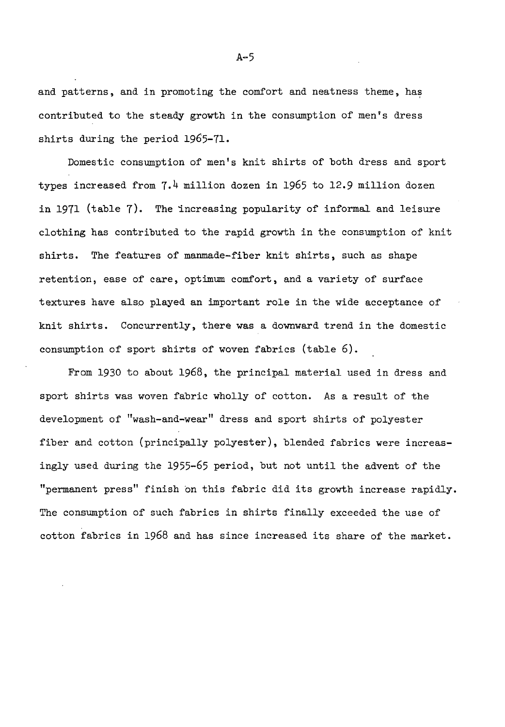and patterns, and in promoting the comfort and neatness theme, has contributed to the steady growth in the consumption of men's dress shirts during the period 1965-71.

Domestic consumption of men's knit shirts of both dress and sport types increased from 7,4 million dozen in 1965 to 12.9 million dozen in 1971 (table 7). The 1ncreasing popularity of informal and leisure clothing has contributed to the rapid growth in the consumption of knit shirts. The features of manmade-fiber knit shirts, such as shape retention, ease of care, optimum comfort, and a variety of surface textures have also played an important role in the wide acceptance of knit shirts. Concurrently, there was a downward trend in the domestic consumption of sport shirts of woven fabrics (table 6).

From 1930 to about 1968, the principal material used in dress and sport shirts was woven fabric wholly of cotton. As a result of the development of "wash-and-wear" dress and sport shirts of polyester fiber and cotton (principally polyester), blended fabrics were increasingly used during the 1955-65 period, but not until the advent of the "permanent press" finish on this fabric did its growth increase rapidly. The consumption of such fabrics in shirts finally exceeded the use of cotton fabrics in 1968 and has since increased its share of the market.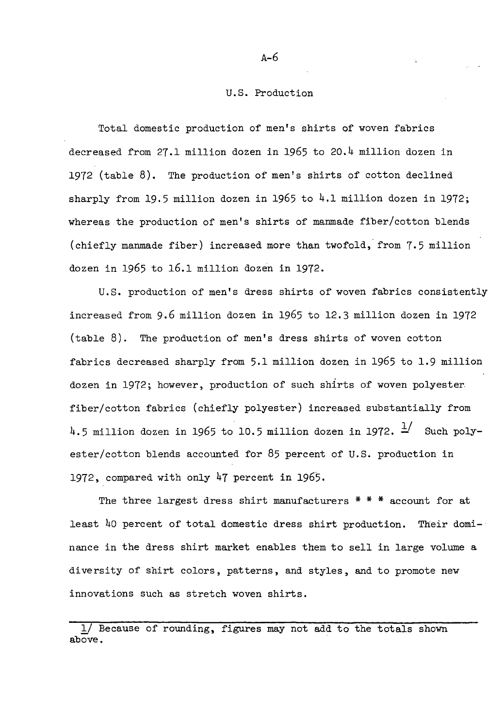#### U.S. Production

Total domestic production of men's shirts of woven fabrics decreased from 27.1 million dozen in 1965 to 20.4 million dozen in 1972 (table 8). The production of men's shirts of cotton declined sharply from 19.5 million dozen in 1965 to  $4.1$  million dozen in 1972; whereas the production of men's shirts of manmade fiber/cotton blends (chiefly manmade fiber) increased more than twofold, from 7.5 million dozen in 1965 to 16.1 million dozen in 1972.

U.S. production of men's dress shirts of woven fabrics consistently increased from 9.6 million dozen in 1965 to 12.3 million dozen in 1972 (table 8). The production of men's dress shirts of woven cotton fabrics decreased sharply from 5.1 million dozen in 1965 to 1.9 million dozen in 1972; however, production of such shirts of woven polyester fiber/cotton fabrics (chiefly polyester) increased substantially from 4.5 million dozen in 1965 to 10.5 million dozen in 1972.  $\frac{1}{2}$  Such polyester/cotton blends accounted for 85 percent of U.S. production in 1972, compared with only 47 percent in 1965.

The three largest dress shirt manufacturers \* \* \* account for at least 40 percent of total domestic dress shirt production. Their dominance in the dress shirt market enables them to sell in large volume a diversity of shirt colors, patterns, and styles, and to promote new innovations such as stretch woven shirts.

1/ Because of rounding, figures may not add to the totals shown above.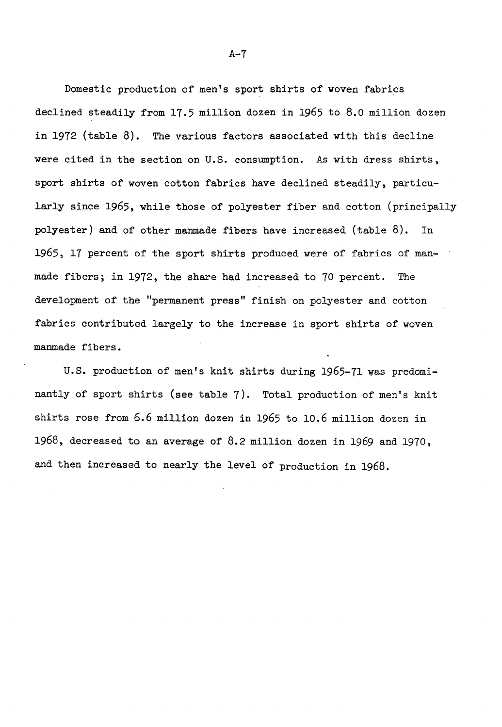Domestic production of men's sport shirts of woven fabrics declined steadily from l7.5 million dozen in l965 to 8.0 million dozen in 1972 (table 8). The various factors associated with this decline were cited in the section on U.S. consumption. As with dress shirts, sport shirts of woven cotton fabrics have declined steadily, particularly since 1965, while those of polyester fiber and cotton (principally polyester) and of other manmade fibers have increased (table  $8$ ). In 1965, 17 percent of the sport shirts produced were of fabrics of manmade fibers; in 1972, the share had increased to 70 percent. The development of the "permanent press" finish on polyester and cotton fabrics contributed largely to the increase in sport shirts of woven manmade fibers.

U.S. production of men's knit shirts during 1965-71 was predominantly of sport shirts (see table 7). Total production of men's knit shirts rose from 6.6 million dozen in 1965 to 10.6 million dozen in 1968, decreased to an average of 8.2 million dozen in 1969 and 1970, and then increased to nearly the level of production in 1968.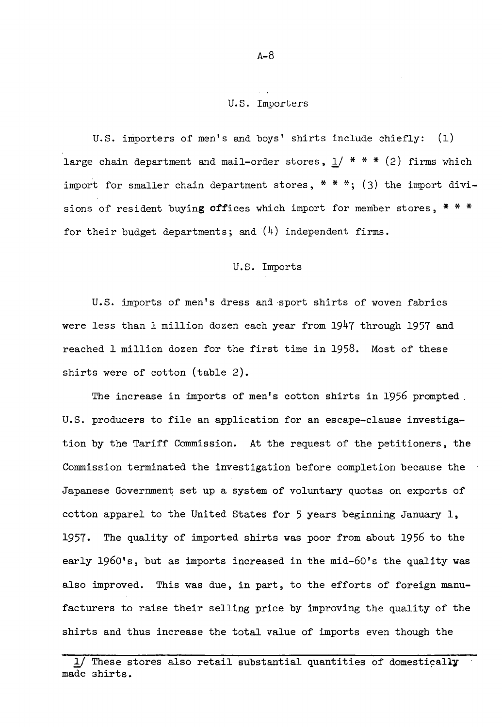#### U.S. Importers

U.S. importers of men's and boys' shirts include chiefly: (1) large chain department and mail-order stores,  $1/$  \* \* \* (2) firms which import for smaller chain department stores,  $* * *$ ; (3) the import divisions of resident buying offices which import for member stores,  $* * *$ for their budget departments; and  $(4)$  independent firms.

# U.S. Imports

U.S. imports of men's dress and sport shirts of woven fabrics were less than 1 million dozen each year from 1947 through 1957 and reached 1 million dozen for the first time in 1958. Most of these shirts were of cotton (table 2).

The increase in imports of men's cotton shirts in 1956 prompted . U.S. producers to file an application for an escape-clause investigation by the Tariff Commission. At the request of the petitioners, the Commission terminated the investigation before completion because the Japanese Government set up a system of voluntary quotas on exports of cotton apparel to the United States for 5 years beginning January 1, 1957. The quality of imported shirts was poor from about 1956 to the early 1960's, but as imports increased in the mid-60's the quality was also improved. This was due, in part, to the efforts of foreign manufacturers to raise their selling price by improving the quality of the shirts and thus increase the total value of imports even though the

 $1/$  These stores also retail substantial quantities of domestically made shirts.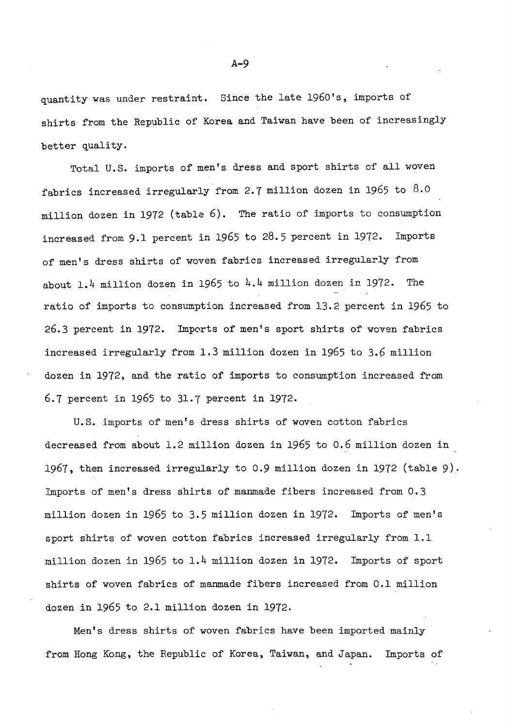quantity was under restraint. Since the late 1960's, imports of shirts from the Republic of Korea and Taiwan have been of increasingly better quality.

Total U.S. imports of men's dress and sport shirts of all woven fabrics increased irregularly from 2.7 million dozen in 1965 to  $8.0$ million dozen in 1972 (table 6). The ratio of imports to consumption increased from 9.1 percent in 1965 to 28.5 percent in 1972. Imports of men's dress shirts of woven fabrics increased irregularly from about 1. 4 million dozen in 1965 to 4. 4 million dozen in 1972. The ratio of imports to consumption increased from 13.2 percent in 1965 to 26.3 percent in 1972. Imports of men's sport shirts of woven fabrics increased irregularly from 1.3 million dozen in 1965 to 3.6 million dozen in 1972, and the ratio of imports to consumption increased from 6.7 percent in 1965 to 31.7 percent in 1972.

U.S. imports of men's dress shirts of woven cotton fabrics decreased from about 1.2 million dozen in 1965 to 0.6 million dozen in 1967, then increased irregularly to 0.9 million dozen in 1972 (table 9). Imports of men's dress shirts of manmade fibers increased from 0.3 million dozen in 1965 to 3.5 million dozen in 1972. Imports of men's sport shirts of woven cotton fabrics increased irregularly from 1.1 million dozen in 1965 to 1.4 million dozen in 1972. Imports of sport shirts of woven fabrics of manmade fibers increased from 0.1 million dozen in 1965 to 2.1 million dozen in 1972.

Men's dress shirts of woven fabrics have been imported mainly from Hong Kong, the Republic of Korea, Taiwan, and Japan. Imports of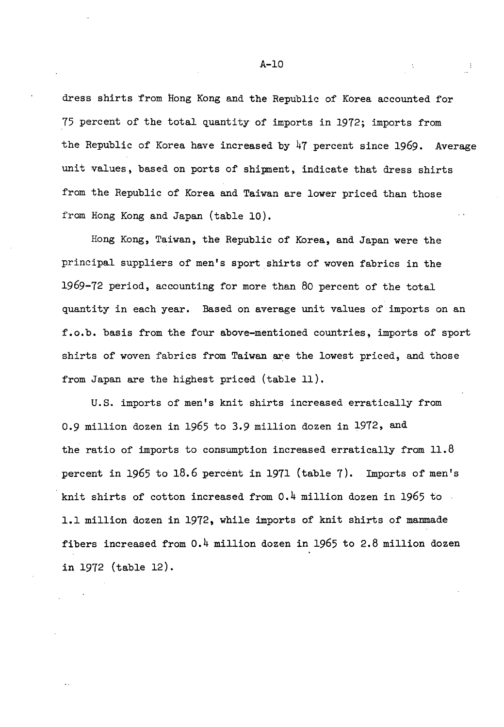dress shirts from Hong Kong and the Republic of Korea accounted for 75 percent of the total quantity of imports in 1972; imports from the Republic of Korea have increased by  $47$  percent since 1969. Average unit values, based on ports of shipment, indicate that dress shirts from the Republic of Korea and Taiwan are lower priced than those from Hong Kong and Japan (table 10).

Hong Kong, Taiwan, the Republic of Korea, and Japan were the principal suppliers of men's sport shirts of woven fabrics in the 1969-72 period, accounting for more than 80 percent of the total quantity in each year. Based on average unit values of imports on an f.o.b. basis from the four above-mentioned countries, imports of sport shirts of woven fabrics from Taiwan are the lowest priced, and those from Japan are the highest priced (table 11).

U.S. imports of men's knit shirts increased erratically from 0.9 million dozen in 1965 to 3.9 million dozen in 1972, and the ratio of imports to consumption increased erratically from 11.8 percent in 1965 to 18.6 percent in 1971 (table 7). Imports of men's knit shirts of cotton increased from o.4 million dozen in 1965 to 1.1 million dozen in 1972, while imports of knit shirts of manmade fibers increased from o.4 million dozen in 1965 to 2.8 million dozen in 1972 (table 12).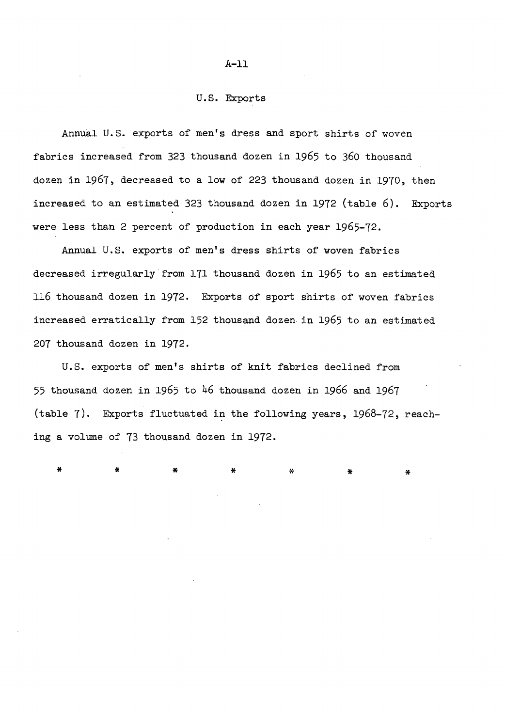#### U.S. Exports

Annual U.S. exports of men's dress and sport shirts of woven fabrics increased from 323 thousand dozen in 1965 to 360 thousand dozen in 1967, decreased to a low of 223 thousand dozen in 1970, then increased to an estimated 323 thousand dozen in 1972 (table 6). Exports were less than 2 percent of production in each year 1965-72.

Annual U.S. exports of men's dress shirts of woven fabrics decreased irregularly from 171 thousand dozen in 1965 to an estimated 116 thousand dozen in 1972. Exports of sport shirts of woven fabrics increased erratically from 152 thousand dozen in 1965 to an estimated 207 thousand dozen in 1972.

U.S. exports of men's shirts of knit fabrics declined from 55 thousand dozen in 1965 to 46 thousand dozen in 1966 and 1967 (table 7). Exports fluctuated in the following years, 1968-72, reaching a volume of 73 thousand dozen in 1972.

\* \* \* \* \* \* \*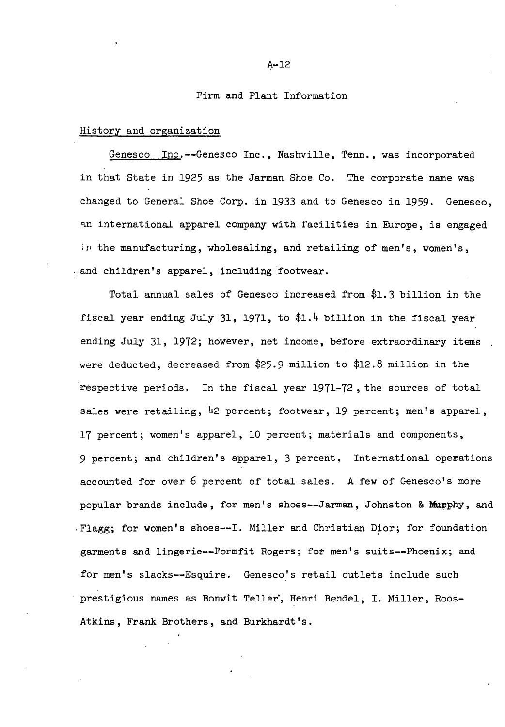#### Firm and Plant Information

#### History and organization

Genesco Inc.--Genesco Inc., Nashville, Tenn., was incorporated in that State in 1925 as the Jarman Shoe Co. The corporate name was changed to General Shoe Corp. in 1933 and to Genesco in 1959. Genesco, an international apparel company with facilities in Europe, is engaged  $\cdot$  in the manufacturing, wholesaling, and retailing of men's, women's, and children's apparel, including footwear.

Total annual sales of Genesco increased from \$1.3 billion in the fiscal year ending July 31, 1971, to \$1.4 billion in the fiscal year ending July 31, 1972; however, net income, before extraordinary items were deducted, decreased from \$25.9 million to \$12.8 million in the respective periods. In the fiscal year 1971-72 , the sources of total sales were retailing, 42 percent; footwear, 19 percent; men's apparel, 17 percent; women's apparel, 10 percent; materials and components, 9 percent; and children's apparel, 3 percent, International operations accounted for over 6 percent of total sales. A few of Genesco's more popular brands include, for men's shoes--Jarman, Johnston & Mupphy, and .Flagg; for women's shoes--I. Miller and Christian Dior; for foundation garments and lingerie--Formfit Rogers; for men's suits--Phoenix; and for men's slacks--Esquire. Genesco's retail outlets include such prestigious names as Bonwit Teller', Henri Bendel, I. Miller, Roos-Atkins, Frank Brothers, and Burkhardt's.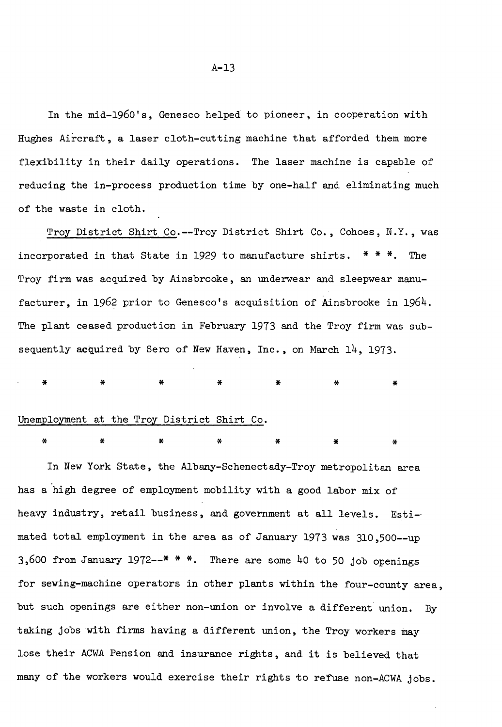In the mid-1960's, Genesco helped to pioneer, in cooperation with Hughes Aircraft, a laser cloth-cutting machine that afforded them more flexibility in their daily operations. The laser machine is capable of reducing the in-process production time by one-half and eliminating much of the waste in cloth.

Troy District Shirt Co.--Troy District Shirt Co., Cohoes, N.Y., was incorporated in that State in 1929 to manufacture shirts.  $* * *$ . The Troy firm was acquired by Ainsbrooke, an underwear and sleepwear manufacturer, in 1962 prior to Genesco's acquisition of Ainsbrooke in  $1964$ . The plant ceased production in February 1973 and the Troy firm was subsequently acquired by Sero of New Haven, Inc., on March 14, 1973.

\* \* \* \* \* \* \* \* \*

#### Unemployment at the Troy District Shirt Co.

|  |  | * * * * * * * * |  |
|--|--|-----------------|--|
|  |  |                 |  |

In New York State, the Albany-Schenectady-Troy metropolitan area has a high degree of employment mobility with a good labor mix of heavy industry, retail business, and government at all levels. Esti-· mated total employment in the area as of January 1973 was 310,500--up 3,600 from January 1972--\* \* \*. There are some 40 to 50 job openings for sewing-machine operators in other plants within the four-county area, but such openings are either non-union or involve a different union. By taking jobs with firms having a different union, the Troy workers may lose their ACWA Pension and insurance rights, and it is believed that many of the workers would exercise their rights to refuse non-ACWA jobs.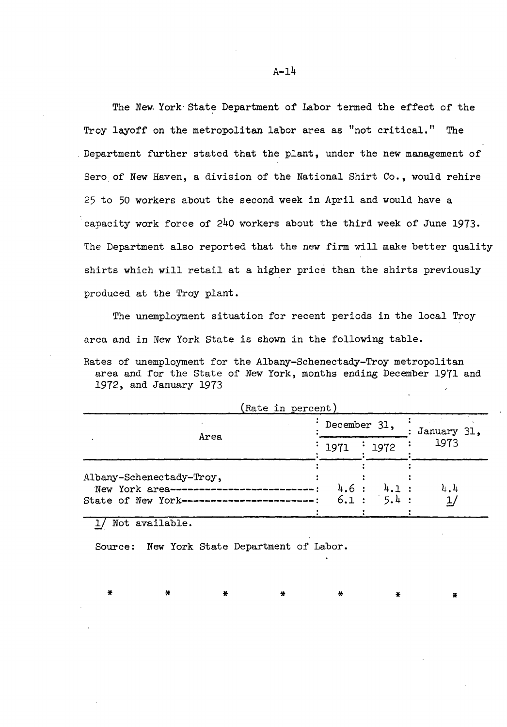The New. York· State Department of Labor termed the effect of the Troy layoff on the metropolitan labor area as "not critical." The . Department further stated that the plant, under the new management of Sero of New Haven, a division of the National Shirt Co., would rehire 25 to 50 workers about the second week in April and would have a capacity work force of 240 workers about the third week of June 1973. The Department also reported that the new firm will make better quality shirts which will retail at a higher price than the shirts previously produced at the Troy plant.

The unemployment situation for recent periods in the local Troy area and in New York State is shown in the following table.

Rates of unemployment for the Albany-Schenectady-Troy metropolitan area and for the State of New York, months ending December 1971 and 1972, and January 1973

|                                                   | (Rate in percent)                        |              |                          |      |
|---------------------------------------------------|------------------------------------------|--------------|--------------------------|------|
| Area                                              |                                          | December 31, | : January 31,            |      |
|                                                   |                                          | $\cdot$ 1971 | $\cdot$ 1972             | 1973 |
| Albany-Schenectady-Troy,<br>New York area ------- | State of New York----------------------- |              | 4.6: 4.1:<br>6.1 : 5.4 : | 4.4  |

|  | (Rate in percent) |  |
|--|-------------------|--|

lJ Not available.

Source: New York State Department of Labor.

\* \* \* \* \* \*

\*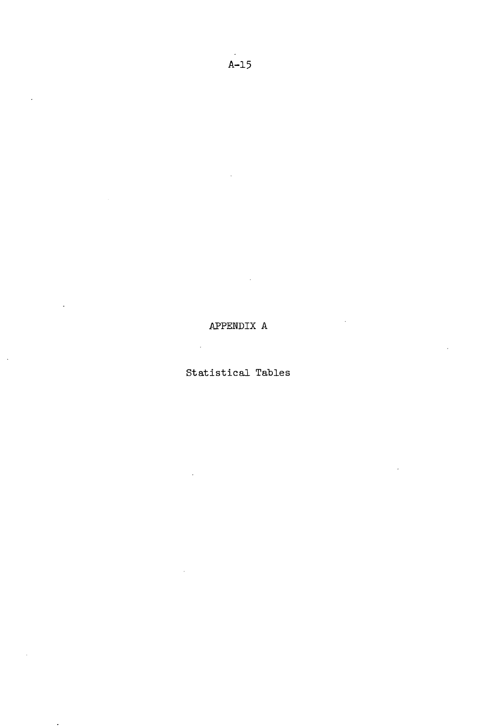.APPENDIX A

 $\bar{z}$ 

 $\ddot{\phantom{a}}$ 

÷,

 $\bar{\mathcal{A}}$ 

 $\mathbb{R}^2$ 

Statistical Tables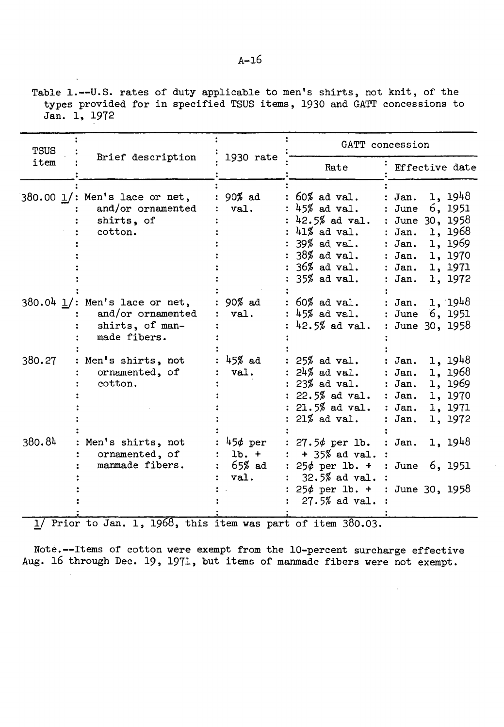Table 1.--U.S. rates of duty applicable to men's shirts, not knit, of the types provided for in specified TSUS items, 1930 and GATT concessions to Jan. 1, 1972

| <b>TSUS</b> |                                                                                         |                                          | GATT concession                                                                                                                             |                                                                                                                                                          |  |  |
|-------------|-----------------------------------------------------------------------------------------|------------------------------------------|---------------------------------------------------------------------------------------------------------------------------------------------|----------------------------------------------------------------------------------------------------------------------------------------------------------|--|--|
| item        | Brief description                                                                       | 1930 rate                                | Rate                                                                                                                                        | Effective date                                                                                                                                           |  |  |
|             | $380.00$ 1/: Men's lace or net,<br>and/or ornamented<br>shirts, of<br>cotton.           | $90\%$ ad<br>val.                        | $60\%$ ad val.<br>$45%$ ad val.<br>$42.5%$ ad val.<br>$41\%$ ad val.<br>$39\%$ ad val.<br>$38\%$ ad val.<br>$36%$ ad val.<br>$35\%$ ad val. | $:$ Jan.<br>1, 1948<br>: June<br>6, 1951<br>: June 30, 1958<br>: Jan. 1, 1968<br>: Jan. 1, 1969<br>: Jan. 1, 1970<br>: Jan. 1, 1971<br>: Jan.<br>1, 1972 |  |  |
|             | $380.04$ 1/: Men's lace or net,<br>and/or ornamented<br>shirts, of man-<br>made fibers. | $90\%$ ad<br>val.                        | $60\%$ ad val.<br>$45%$ ad $val.$<br>$42.5%$ ad val.                                                                                        | : Jan. 1, 1948<br>: June 6, 1951<br>June 30, 1958                                                                                                        |  |  |
| 380.27      | Men's shirts, not<br>ornamented, of<br>cotton.                                          | $45%$ ad<br>val.                         | $25\%$ ad $val.$<br>$24\%$ ad val.<br>$23%$ ad val.<br>$22.5%$ ad val.<br>: $21.5%$ ad val.<br>$21\%$ ad val.                               | : Jan.<br>1, 1948<br>: Jan.<br>1, 1968<br>: Jan.<br>1, 1969<br>: Jan.<br>1, 1970<br>$:$ Jan.<br>1, 1971<br>$:$ $Jan.$<br>1, 1972                         |  |  |
| 380.84      | Men's shirts, not<br>ornamented, of<br>manmade fibers.                                  | $45¢$ per<br>$1b. +$<br>$65%$ ad<br>val. | : $27.5\phi$ per lb.<br>$+35%$ ad val.<br>$25¢$ per lb. +<br>$32.5%$ ad val.<br>$25¢$ per lb. +<br>$27.5%$ ad val.                          | 1, 1948<br>Jan.<br>: June 6, 1951<br>June 30, 1958                                                                                                       |  |  |

1/ Prior to Jan. 1, 1968, this item was part of item 380.03.

Note.--Items of cotton were exempt from the 10-percent surcharge effective Aug. 16 through Dec. 19, 1971, but items of manmade fibers were not exempt.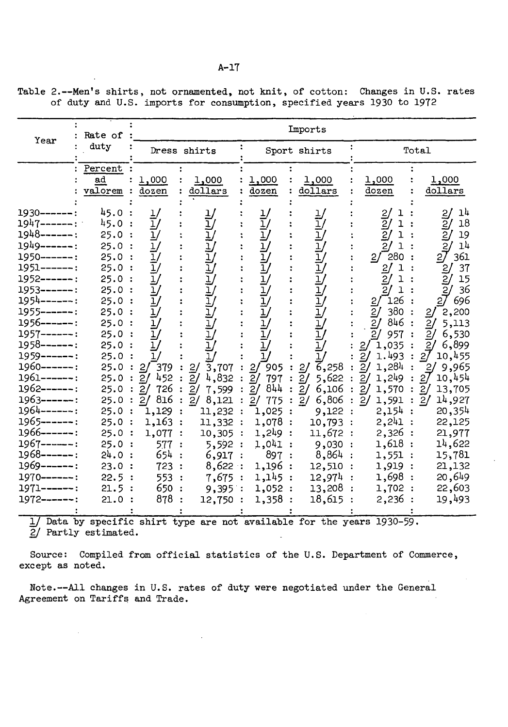| Year                                                                                                                                                                                                                                                                                                                                                                                                                                                     | Rate of                                                                                                                                                                                                                                                                                                                                                                                            |                                                                                                                                                                                                                                                                                                                                                                           |                                                                                                                                                                                                                                                                              |                                                                                                                                                                                                                                                                                                       | Imports                                                                                                                                                                                                                           |                                                                                                                                                                                                                                                                                                                                                                                                                                                                                                                                                                                                  |                                                                                                                                                                                                                                                                                                                                                                                                                                                                                           |
|----------------------------------------------------------------------------------------------------------------------------------------------------------------------------------------------------------------------------------------------------------------------------------------------------------------------------------------------------------------------------------------------------------------------------------------------------------|----------------------------------------------------------------------------------------------------------------------------------------------------------------------------------------------------------------------------------------------------------------------------------------------------------------------------------------------------------------------------------------------------|---------------------------------------------------------------------------------------------------------------------------------------------------------------------------------------------------------------------------------------------------------------------------------------------------------------------------------------------------------------------------|------------------------------------------------------------------------------------------------------------------------------------------------------------------------------------------------------------------------------------------------------------------------------|-------------------------------------------------------------------------------------------------------------------------------------------------------------------------------------------------------------------------------------------------------------------------------------------------------|-----------------------------------------------------------------------------------------------------------------------------------------------------------------------------------------------------------------------------------|--------------------------------------------------------------------------------------------------------------------------------------------------------------------------------------------------------------------------------------------------------------------------------------------------------------------------------------------------------------------------------------------------------------------------------------------------------------------------------------------------------------------------------------------------------------------------------------------------|-------------------------------------------------------------------------------------------------------------------------------------------------------------------------------------------------------------------------------------------------------------------------------------------------------------------------------------------------------------------------------------------------------------------------------------------------------------------------------------------|
|                                                                                                                                                                                                                                                                                                                                                                                                                                                          | duty                                                                                                                                                                                                                                                                                                                                                                                               | Dress shirts                                                                                                                                                                                                                                                                                                                                                              |                                                                                                                                                                                                                                                                              |                                                                                                                                                                                                                                                                                                       | Sport shirts                                                                                                                                                                                                                      |                                                                                                                                                                                                                                                                                                                                                                                                                                                                                                                                                                                                  | Total                                                                                                                                                                                                                                                                                                                                                                                                                                                                                     |
|                                                                                                                                                                                                                                                                                                                                                                                                                                                          | Percent<br>ad<br>valorem                                                                                                                                                                                                                                                                                                                                                                           | 1,000<br>dozen                                                                                                                                                                                                                                                                                                                                                            | 1,000<br>dollars                                                                                                                                                                                                                                                             | 1,000<br>dozen                                                                                                                                                                                                                                                                                        | 1,000<br>dollars                                                                                                                                                                                                                  | 1,000<br>dozen                                                                                                                                                                                                                                                                                                                                                                                                                                                                                                                                                                                   | 1,000<br>dollars                                                                                                                                                                                                                                                                                                                                                                                                                                                                          |
| $1930----$<br>$1947$ ------:<br>1948------:<br>1949------:<br>1950------:<br>1951------:<br>1952 ------:<br>$1953$ ------:<br>$1954$ ------:<br>1955------:<br>1956------:<br>1957------:<br>$1958$ ------:<br>1959------:<br>$1960$ -------:<br>1961-------:<br>$1962$ ------:<br>$1963$ ------:<br>$1964$ ------:<br>1965-------:<br>$1966$ -------:<br>1967------:<br>$1968$ ------:<br>$1969$ ------:<br>1970------:<br>1971-------:<br>1972 ------: | 45.0<br>- :<br>45.0<br>$\mathbf{r}$<br>25.0<br>$\cdot$ :<br>25.0<br>$\ddot{\cdot}$<br>25.0<br>$\ddot{\cdot}$<br>25.0<br>$\cdot$ :<br>25.0<br>$\cdot$ :<br>25.0<br>$\ddot{\cdot}$<br>25.0<br>25.0<br>$\ddot{\cdot}$<br>25.0<br>$\mathbf{r}$<br>25.0<br>$\ddot{\cdot}$<br>25.0:<br>25.0<br>25.0<br>25.0<br>25.0<br>25.0<br>25.0<br>25.0<br>25.0<br>25.0:<br>24.0:<br>23.0:<br>22.5:<br>21.5:<br>21.0 | $\ddot{\cdot}$<br>エノコン<br>エノコン<br>1/<br>379<br>$\ddot{\cdot}$<br>$\overline{2}$<br>452<br>2/<br>$\ddot{\cdot}$<br>2/<br>726<br>$\ddot{\cdot}$<br>2/<br>816<br>$\ddot{\cdot}$<br>1,129<br>$\cdot$<br>$\ddot{\cdot}$<br>1,163<br>$\ddot{\cdot}$<br>1,077<br>÷.<br>577<br>654<br>$\ddot{\cdot}$<br>723<br>$\ddot{\cdot}$<br>553<br>$\ddot{\cdot}$<br>650<br>$\cdot$ :<br>878 | アファラテアアプリプ<br>__<br>3,707<br>$\overline{2}$<br>$\overline{2}$ /<br>4,832<br>2/<br>7,599<br>2/<br>8,121<br>11,232<br>$\ddot{\cdot}$<br>11,332<br>$\cdot$<br>10,305<br>$\ddot{\cdot}$<br>5,592:<br>6,917<br>$\cdot$ :<br>8,622:<br>7,675<br>$\ddot{\cdot}$<br>9,395:<br>12,750 | 905<br>$\mathcal{Z}'$<br>$\overline{2}$<br>797<br>$\ddot{\cdot}$<br>$\overline{2}$<br>844<br>2/<br>775<br>$\ddot{\cdot}$<br>1,025<br>÷<br>1,078<br>$\ddot{\cdot}$<br>1,249<br>$\ddot{\cdot}$<br>1,041<br>897<br>$\ddot{\cdot}$<br>1,196<br>$\ddot{\cdot}$<br>1,145<br>$\mathbf{r}$<br>1,052:<br>1,358 | リリリリリリシン<br>6,258<br>2/<br>5,622<br>$\overline{2}$<br>$\overline{2}$<br>6,106<br>6,806<br>2/<br>9,122<br>$\mathbf{r}$<br>10,793<br>11,672<br>9,030<br>8,864<br>$\mathbf{r}$<br>12,510<br>12,974<br>$\cdot$ :<br>13,208<br>18,615: | $\overline{2}$<br>ı<br>2/<br>ı<br>$\overline{2}$<br>$\mathbf{1}$ :<br>$\overline{2}$ /<br>1:<br>280:<br>2/<br>2<br>ı<br>$\ddot{\phantom{1}}$<br>$\overline{z}$<br>ı<br>$\overline{c}$<br>1:<br>126:<br><u>2</u> /<br>$\overline{2}$ /<br>380<br>$\overline{2}$ /<br>846<br>$\cdot$ :<br>$\overline{2}$<br>957<br>1,035<br>$\frac{2}{2}$<br>1.493<br>$\overline{2}$<br>1,284<br>$\overline{2}$<br>1,249<br>$\overline{2}$<br>1,570<br>2/<br>1,591<br>2,154<br>$\mathbf{r}$<br>2,241<br>2,326<br>1,618:<br>1,551:<br>1,919<br>$\mathbb{R}^2$<br>1,698<br>$\ddot{\phantom{1}}$<br>1,702 :<br>2,236: | 1 <sup>1</sup><br>2/<br>$\overline{2}$<br>18<br>$\overline{2}$<br>19<br>$\overline{c}$<br>1 <sup>h</sup><br>$2\overline{J}$<br>361<br>37<br>ट्य<br>ट्य<br>15<br>$\overline{c}$<br>-36<br>27<br>696<br>2,200<br>2/<br>$\overline{2}$<br>5,113<br>$\overline{2}$<br>6,530<br>6,899<br>$\overline{c}$<br>10,455<br>2/<br>9,965<br>$\mathbf{2}_{l}$<br>10,454<br>2/<br>2/<br>13,705<br>2/<br>14,927<br>20,354<br>22,125<br>21,977<br>14,622<br>15,781<br>21,132<br>20,649<br>22,603<br>19,493 |
|                                                                                                                                                                                                                                                                                                                                                                                                                                                          |                                                                                                                                                                                                                                                                                                                                                                                                    |                                                                                                                                                                                                                                                                                                                                                                           |                                                                                                                                                                                                                                                                              |                                                                                                                                                                                                                                                                                                       |                                                                                                                                                                                                                                   |                                                                                                                                                                                                                                                                                                                                                                                                                                                                                                                                                                                                  |                                                                                                                                                                                                                                                                                                                                                                                                                                                                                           |

Table 2.--Men's shirts, not ornamented, not knit, of cotton: Changes in U.S. rates of duty and U.S. imports for consumption, specified years 1930 to 1972

1/ Data by specific shirt type are not available for the years 1930-59.<br>2/ Partly estimated.

Source: Compiled from official statistics of the U.S. Department of Commerce, except as noted.

Note.--All changes in U.S. rates of duty were negotiated under the General Agreement on Tariffs and Trade.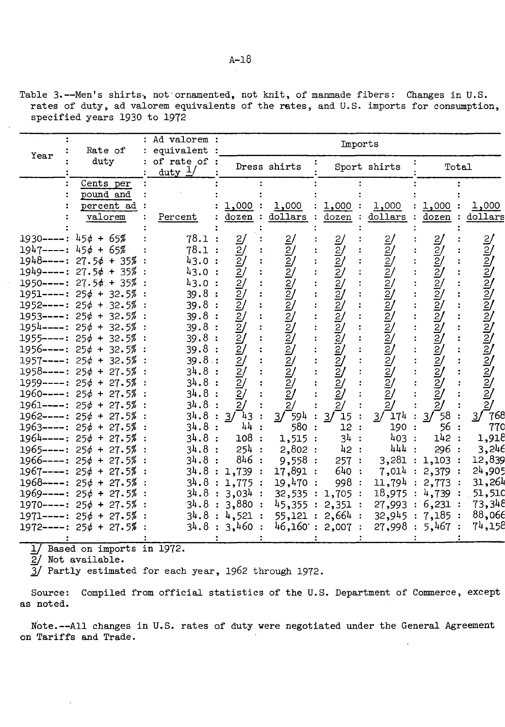Table 3.--Men's shirts, not ornamented, not knit, of manmade fibers: Changes in U.S. rates of duty, ad valorem equivalents of the rates, and U.S. imports for consumption, specified years 1930 to 1972

|                                                                                                   | Rate of                                                                                                                                                                                                                                                                                                                                                                                                                                                                                                                                                                                                                                                                 | : Ad valorem :<br>equivalent                                                                                                                                                                                                                                                                                                     |                                                                                                                                                                                                                                       |                                                                                                                                                                                                            | Imports                                                                                                                                                                                                            |                                                                                                                                                                                                                                                                       |                                                                                                                                                                     |                                                                                                            |
|---------------------------------------------------------------------------------------------------|-------------------------------------------------------------------------------------------------------------------------------------------------------------------------------------------------------------------------------------------------------------------------------------------------------------------------------------------------------------------------------------------------------------------------------------------------------------------------------------------------------------------------------------------------------------------------------------------------------------------------------------------------------------------------|----------------------------------------------------------------------------------------------------------------------------------------------------------------------------------------------------------------------------------------------------------------------------------------------------------------------------------|---------------------------------------------------------------------------------------------------------------------------------------------------------------------------------------------------------------------------------------|------------------------------------------------------------------------------------------------------------------------------------------------------------------------------------------------------------|--------------------------------------------------------------------------------------------------------------------------------------------------------------------------------------------------------------------|-----------------------------------------------------------------------------------------------------------------------------------------------------------------------------------------------------------------------------------------------------------------------|---------------------------------------------------------------------------------------------------------------------------------------------------------------------|------------------------------------------------------------------------------------------------------------|
| Year                                                                                              | duty                                                                                                                                                                                                                                                                                                                                                                                                                                                                                                                                                                                                                                                                    | of rate of :<br>duty $\frac{1}{2}$                                                                                                                                                                                                                                                                                               |                                                                                                                                                                                                                                       | Dress shirts                                                                                                                                                                                               |                                                                                                                                                                                                                    | Sport shirts                                                                                                                                                                                                                                                          | Total                                                                                                                                                               |                                                                                                            |
| $1949---: 27.50 +$<br>$1964---: 25¢ +$<br>$1967$ ----: 25¢ +<br>$1968$ ----: 25¢<br>1969----: 25¢ | Cents per<br>pound and<br>percent ad<br>valorem<br>$1930---: 45¢ + 65%$<br>$1947---: 456 + 65%$<br>$1948$ ----: 27.5¢ + 35%<br>35%<br>$1950---: 27.50 + 35%$<br>$1951$ ----: $25¢ + 32.5%$<br>$1952$ ----: $25¢ + 32.5%$<br>$1953$ ----: $25¢ + 32.5%$<br>$1954---: 25¢ + 32.5%$<br>$1955$ ----: $25¢ + 32.5%$<br>$1956$ ----: $25¢ + 32.5%$<br>$1957$ ----: $25¢ + 32.5%$<br>$1958$ ----: $25¢ + 27.5%$<br>$1959$ ----: $25¢ + 27.5%$<br>$1960$ ----: $25¢ + 27.5%$<br>$1961---: 25¢ + 27.5%$<br>$1962$ ----: $25¢ + 27.5%$<br>$1963$ ----: $25¢ + 27.5%$<br>27.5%<br>$1965$ ----: $25¢ + 27.5%$<br>$1966---: 25¢ + 27.5%$<br>27.5%<br>27.5%<br>$\div$<br>27.5%<br>$+$ | Percent<br>78.1 :<br>78.1:<br>43.0:<br>43.0 :<br>43.0:<br>39.8:<br>39.8:<br>39.8<br>$\mathbb{R}^2$<br>39.8<br>$\cdot$<br>39.8:<br>39.8:<br>39.8:<br>34.8:<br>34.8:<br>34.8:<br>34.8<br>$\cdot$ :<br>34.8<br>$\ddot{\cdot}$<br>34.8<br>$\sim$<br>34.8:<br>34.8:<br>34.8<br>$\mathbf{r}$<br>34.8<br>$\ddot{\cdot}$<br>34.8<br>34.8 | 1,000<br>dozen<br>43<br>$\frac{3}{2}$<br>44<br>$\ddot{\mathbf{z}}$<br>108<br>254<br>$\cdot$ :<br>846<br>$\ddot{\phantom{1}}$<br>1,739<br>1,775<br>$\ddot{\phantom{a}}$<br>$\ddot{\cdot}$<br>3,034<br>$\ddot{\cdot}$<br>$\ddot{\cdot}$ | 1,000<br>dollars<br><u>טן פוטן פוטן פון פון פון פון קווי</u><br>3/594<br>580<br>1,515<br>$\cdot$ :<br>2,802:<br>9,558<br>$\ddot{\cdot}$<br>17,891:<br>19,470<br>$\ddot{\cdot}$<br>32,535<br>$\ddot{\cdot}$ | 1,000<br>dozen<br>$\overline{2}$<br>$15$<br>$\frac{3}{2}$<br>$\ddot{\cdot}$<br>12<br>$\mathbb{R}^2$<br>34<br>$\ddot{\phantom{1}}$<br>42:<br>257:<br>640<br>$\ddot{\phantom{1}}$<br>998<br>$\ddot{\cdot}$<br>1,705: | 1,000<br>dollars<br><u>וט פוט פוט פוט פוט פון אין פון דער פון פון פון פון פון פון קו</u><br>$3\sqrt{2}$<br>174<br>190<br>$\ddot{\cdot}$<br>403:<br>44և<br>$\ddot{\cdot}$<br>3,281:<br>7,014<br>$\ddot{\cdot}$<br>11,794<br>$\ddot{\cdot}$<br>18,975<br>$\ddot{\cdot}$ | 1,000<br>dozen<br>ลิโดโดโดโดโดโดโดโดโดโดโดโดโดโดโดโด<br>$\overline{3}$<br>58<br>56<br>142:<br>296 :<br>1,103<br>$\cdot$ :<br>2,379:<br>2,773<br>$\cdot$ :<br>4,739: | 1,000<br>dollars<br>$\overline{3}$<br>768<br>770<br>1,918<br>3,246<br>12,839<br>24,905<br>31,264<br>51,510 |
| $1971---: 25¢$<br>$1972---: 25¢$                                                                  | $1970---: 25¢ + 27.5%$<br>27.5%<br>$+$<br>27.5%<br>$\ddot{\phantom{1}}$                                                                                                                                                                                                                                                                                                                                                                                                                                                                                                                                                                                                 | 34.8<br>$\ddot{\cdot}$<br>34.8<br>34.8<br>$\ddot{\cdot}$                                                                                                                                                                                                                                                                         | 3,880:<br>4,521:<br>$\ddot{\cdot}$<br>3,460:                                                                                                                                                                                          | 45,355<br>$\ddot{\cdot}$<br>55,121:<br>$46,160$ :                                                                                                                                                          | 2,351:<br>2,664:<br>2,007:                                                                                                                                                                                         | 27,993<br>32,945<br>$\ddot{\phantom{a}}$<br>27,998                                                                                                                                                                                                                    | : 6,231:<br>7,185:<br>5,467:                                                                                                                                        | 73,348<br>88,066<br>74,158                                                                                 |

1/ Based on imports in 1972.<br>2/ Not available.

 $\overline{3}$ / Partly estimated for each year, 1962 through 1972.

Source: Compiled from official statistics of the U.S. Department of Commerce, except as noted.

Note.--All changes in U.S. rates of duty were negotiated under the General Agreement on Tariffs and Trade.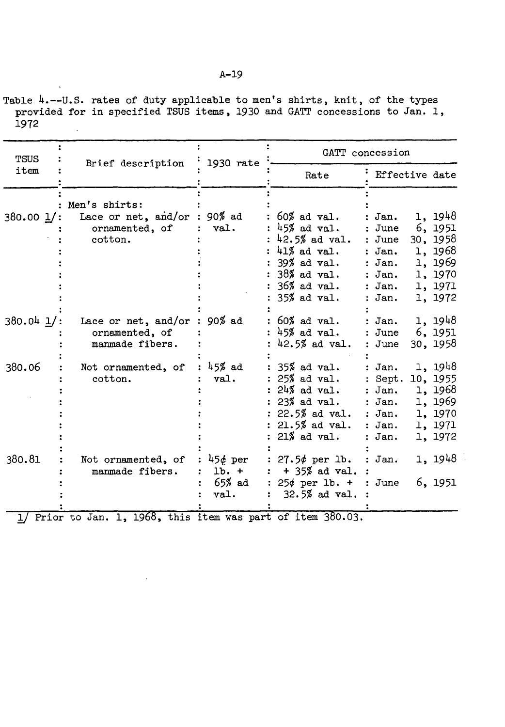Table 4.--U.S. rates of duty applicable to men's shirts, knit, of the types provided for in specified TSUS items, 1930 and GATT concessions to Jan. 1, 1972  $\mathbf{r}$ 

| <b>TSUS</b> |                                                                                                                                                                                                                                                                                                                                                                                                                                                                                                                        |                                              | GATT concession<br>1930 rate                                                                                                            |                                                                                    |                                                                                       |
|-------------|------------------------------------------------------------------------------------------------------------------------------------------------------------------------------------------------------------------------------------------------------------------------------------------------------------------------------------------------------------------------------------------------------------------------------------------------------------------------------------------------------------------------|----------------------------------------------|-----------------------------------------------------------------------------------------------------------------------------------------|------------------------------------------------------------------------------------|---------------------------------------------------------------------------------------|
| item        | Brief description                                                                                                                                                                                                                                                                                                                                                                                                                                                                                                      |                                              | Rate                                                                                                                                    | Effective date                                                                     |                                                                                       |
| 380.00 1/:  | Men's shirts:<br>Lace or net, and/or : 90% ad<br>ornamented, of<br>cotton.                                                                                                                                                                                                                                                                                                                                                                                                                                             | val.                                         | $60\%$ ad val.<br>$45%$ ad val.<br>42.5% ad val.<br>$41\%$ ad val.<br>$39\%$ ad val.<br>$38\%$ ad val.<br>36% ad val.<br>$35\%$ ad val. | : Jan.<br>: June<br>: June<br>: Jan.<br>$:$ Jan.<br>: Jan.<br>$:$ Jan.<br>$:$ Jan. | 1, 1948<br>6, 1951<br>30, 1958<br>1, 1968<br>1, 1969<br>1, 1970<br>1, 1971<br>1, 1972 |
| 380.04 1/:  | Lace or net, and/or<br>ornamented, of<br>manmade fibers.                                                                                                                                                                                                                                                                                                                                                                                                                                                               | : 90% ad                                     | $60\%$ ad val.<br>$45%$ ad val.<br>42.5% ad val.                                                                                        | : Jan.<br>: June<br>: June                                                         | 1, 1948<br>6, 1951<br>30, 1958                                                        |
| 380.06      | Not ornamented, of<br>cotton.                                                                                                                                                                                                                                                                                                                                                                                                                                                                                          | : 45% ad<br>val.                             | $35%$ ad val.<br>25% ad val.<br>$24\%$ ad val.<br>$23%$ ad val.<br>$22.5\%$ ad $val.$<br>$21.5%$ ad val.<br>$21\%$ ad val.              | : Jan.<br>: Sept. 10, 1955<br>: Jan.<br>: Jan.<br>: Jan.<br>: Jan.<br>: Jan.       | 1, 1948<br>1, 1968<br>1, 1969<br>1, 1970<br>1, 1971<br>1, 1972                        |
| 380.81      | Not ornamented, of<br>manmade fibers.<br>$\overline{\cdot}$ . $\overline{\cdot}$ . $\overline{\cdot}$ . $\overline{\cdot}$ . $\overline{\cdot}$ . $\overline{\cdot}$ . $\overline{\cdot}$ . $\overline{\cdot}$ . $\overline{\cdot}$ . $\overline{\cdot}$ . $\overline{\cdot}$ . $\overline{\cdot}$ . $\overline{\cdot}$ . $\overline{\cdot}$ . $\overline{\cdot}$ . $\overline{\cdot}$ . $\overline{\cdot}$ . $\overline{\cdot}$ . $\overline{\cdot}$ . $\overline{\cdot}$ . $\overline{\cdot}$ . $\overline{\cdot}$ . | 45 $\phi$ per<br>$1b. +$<br>$65%$ ad<br>val. | : $27.5\phi$ per lb. : Jan.<br>$+35\%$ ad val.<br>$25¢$ per lb. +<br>$32.5%$ ad val.<br>$\overline{200}$                                | : June                                                                             | 1, 1948<br>6, 1951                                                                    |

 $\frac{1}{2}$ 

*1)* Prior to Jan. 1, 1968, this item was part of item 380.03.

 $\sim 1000$  km s  $^{-1}$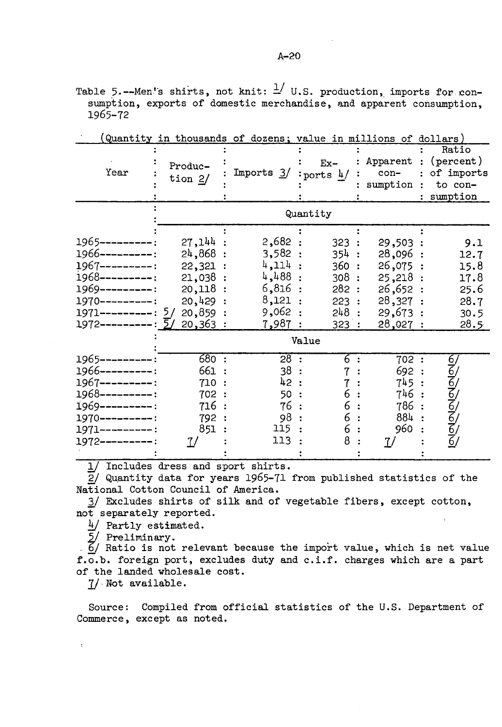Table 5.--Men's shirts, not knit:  $\frac{1}{2}$  U.S. production, imports for con-<br>sumption, exports of domestic merchandise, and apparent consumption, 1965-72

|                                                                                                                                                                                                          |                  |                                                                     |                                                                                                                                                             | dorrars,                                                                                                                   |
|----------------------------------------------------------------------------------------------------------------------------------------------------------------------------------------------------------|------------------|---------------------------------------------------------------------|-------------------------------------------------------------------------------------------------------------------------------------------------------------|----------------------------------------------------------------------------------------------------------------------------|
| Produc-<br>tion $2/$                                                                                                                                                                                     |                  | $Ex-$<br>: ports $4/$                                               | Apparent<br>con-<br>sumption :                                                                                                                              | Ratio<br>(percent)<br>$\mathbf{r}$<br>of imports<br>to con-<br>: sumption                                                  |
|                                                                                                                                                                                                          |                  |                                                                     |                                                                                                                                                             |                                                                                                                            |
| 27,144<br>1965----------:<br>1966---------:<br>$1967$ ----------:<br>$1968$ ---------:<br>1969---------:<br>20,429<br>1970---------:<br>20,859<br>$1971$ ---------: 5/<br>1972---------- : 5/<br>20,363: |                  | 223<br>248                                                          | 29,503 :<br>28,096:<br>26,075 :<br>25,218:<br>26,652:<br>28,327:<br>29,673 :<br>28,027:                                                                     | 9.1<br>12.7<br>15.8<br>17.8<br>25.6<br>28.7<br>30.5<br>28.5                                                                |
|                                                                                                                                                                                                          |                  |                                                                     |                                                                                                                                                             |                                                                                                                            |
| 1965---------:<br>1966----------<br>1967---------:<br>710 :<br>1968---------:<br>702 :<br>716<br>1969----------<br>1970---------:<br>851<br>1971 ---------<br>1972 ---------<br>7/                       | 76<br>115<br>113 | 6<br>6 <sup>1</sup><br>8                                            | 702 :<br>692 :<br>745:<br>746:<br>786:<br>884<br>.960<br>7/                                                                                                 | elederatories                                                                                                              |
|                                                                                                                                                                                                          |                  | 24,868:<br>22,321 :<br>21,038:<br>20,118:<br>680:<br>661 :<br>792 : | Imports $3/$<br>Quantity<br>2,682 :<br>3,582:<br>4,114:<br>4,488:<br>6,816:<br>$8,121$ :<br>9,062:<br>7,987 :<br>Value<br>28:<br>38:<br>42 :<br>50:<br>98 : | (guantity in chousands of dozens, value in millions of<br>323:<br>354:<br>360:<br>308:<br>282:<br>323:<br>6 :<br>6.<br>6 : |

 $^{\prime}$ Quantity in thousands of dozens: value in millions of dollars $^{\prime}$ 

1/ Includes dress and sport shirts.

 $\overline{2}$ / Quantity data for years 1965-71 from published statistics of the National Cotton Council of America.

3/ Excludes shirts of silk and of vegetable fibers, except cotton, not separately reported.

*!±/* Partly estimated.

 $\frac{2}{5}$ / Preliminary.<br>*6*/ Ratio is not relevant because the import value, which is net value f.o.b. foreign port, excludes duty and c.i.f. charges which are a part of the landed wholesale cost.

7/·Not available.

Source: Compiled from official statistics of the U.S. Department of Commerce, except as noted.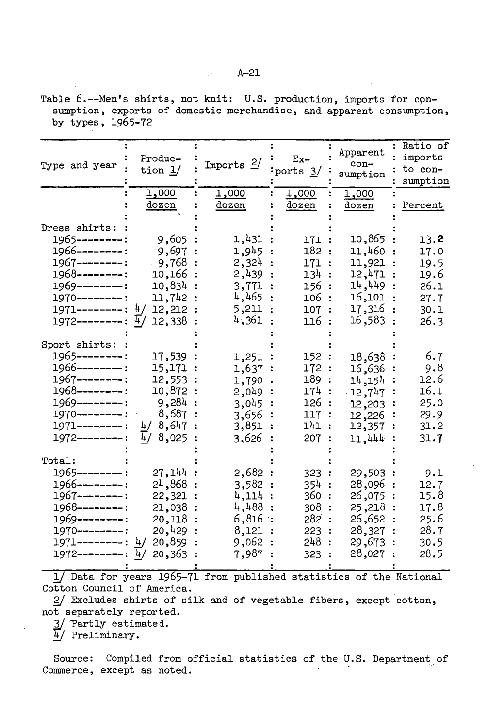|                   |  |  |  | Table 6.--Men's shirts, not knit: U.S. production, imports for con-  |  |
|-------------------|--|--|--|----------------------------------------------------------------------|--|
|                   |  |  |  | sumption, exports of domestic merchandise, and apparent consumption, |  |
| by types, 1965-72 |  |  |  |                                                                      |  |

| Type and year                                        | Produc-<br>tion $1/$           | Imports $2/$          | $Ex-$<br>ports 3/         | Apparent<br>con-<br>sumption | Ratio of<br>imports<br>to con-<br>sumption |
|------------------------------------------------------|--------------------------------|-----------------------|---------------------------|------------------------------|--------------------------------------------|
|                                                      | 1,000<br>dozen                 | <u>1,000</u><br>dozen | 1,000<br>dozen            | 1,000<br>dozen               | Percent                                    |
| Dress shirts:                                        |                                |                       |                           |                              |                                            |
| 1965--------- <b>:</b>                               | 9,605                          | 1,431                 | 171 :                     | 10,865                       | 13.2                                       |
| 1966--------:                                        | 9,697                          | 1,945                 | 182 :                     | 11,460                       | 17.0                                       |
| 1967---------:                                       | . 9,768                        | 2,324                 | 171 :                     | 11,921                       | 19.5                                       |
| 1968--------:                                        | 10,166                         | 2,439                 | 134 :<br>$\ddot{ }$       | 12,471                       | 19.6                                       |
| 1969--------:                                        | 10,834                         | 3,771                 | 156 :                     | 14,449                       | 26.1<br>$\ddot{\cdot}$                     |
| 1970--------:                                        | 11,742<br>$\ddot{\phantom{1}}$ | 4,465                 | 106 :                     | 16,101                       | 27.7                                       |
| 1971---------:                                       | 12,212 :<br>4/                 | 5,211                 | 107 :                     | 17,316                       | 30.1                                       |
| 1972--------:                                        | 12,338                         | 4,361                 | 116 :                     | 16,583                       | 26.3                                       |
|                                                      |                                |                       |                           |                              |                                            |
| Sport shirts: :                                      |                                |                       |                           |                              |                                            |
| 1965- <b>-------</b> -                               | 17,539                         | 1,251:                | 152 :                     | 18,638:                      | 6.7                                        |
| 1966------ <b>--</b> :<br>1967 <del>--------</del> : | 15,171<br>12,553:              | 1,637 :               | 172 :<br>189 :            | 16,636                       | 9.8<br>12.6                                |
| 1968--------:                                        | 10,872<br>$\ddot{\cdot}$       | 1,790<br>2,049        | $174$ :<br>$\ddot{\cdot}$ | 14,154                       | 16.1                                       |
| 1969---------                                        | 9,284<br>$\ddot{\cdot}$        | 3,045                 | 126 :<br>$\ddot{\cdot}$   | 12,747<br>12,203             | 25.0                                       |
| 1970--------:                                        | 8,687<br>$\ddot{\cdot}$        | 3,656                 | 117:<br>$\ddot{\cdot}$    | 12,226                       | 29.9                                       |
| 1971--------:                                        | 8,647<br>4/<br>$\ddot{\cdot}$  | 3,851                 | 141 :<br>$\ddot{\cdot}$   | 12,357:                      | 31.2                                       |
| 1972--------:                                        | 4/<br>8,025                    | 3,626                 | 207                       | 11,444:                      | 31.7                                       |
|                                                      |                                |                       |                           |                              |                                            |
| Total:                                               |                                |                       |                           |                              |                                            |
| $1965$ --------:                                     | 27,144                         | 2,682 :               | 323:                      | 29,503 :                     | 9.1                                        |
| 1966---------:                                       | 24,868                         | 3,582:                | 354 :                     | 28,096:                      | 12.7                                       |
| 1967--------:                                        | 22,321                         | 4,114:                | 360 :                     | 26,075 :                     | 15.8                                       |
| 1968--------:                                        | 21,038:                        | 4,488:                | 308 :                     | 25,218:                      | 17.8                                       |
| 1969---------:                                       | 20,118:                        | 6,816:                | 282 :                     | 26,652:                      | 25.6                                       |
| 1970--------:                                        | $20,429$ :                     | 8,121:                | 223 :                     | 28,327:                      | 28.7                                       |
| 1971--------:                                        | 20,859<br>4/                   | 9,062:                | 248 :                     | 29,673 :                     | 30.5                                       |
| 1972--------:                                        | 4/<br>20,363                   | 7,987:                | 323                       | 28,027 :                     | 28.5                                       |
|                                                      |                                |                       |                           |                              |                                            |

1/ Data for years 1965-71 from published statistics of the National Cotton Council of America.

2/ Excludes shirts of silk and of vegetable fibers, except cotton, not separately reported.

3/ Partly estimated.

*'!±/* Preliminary.

Source: Compiled from official statistics of the U.S. Department\_of Commerce, except as noted.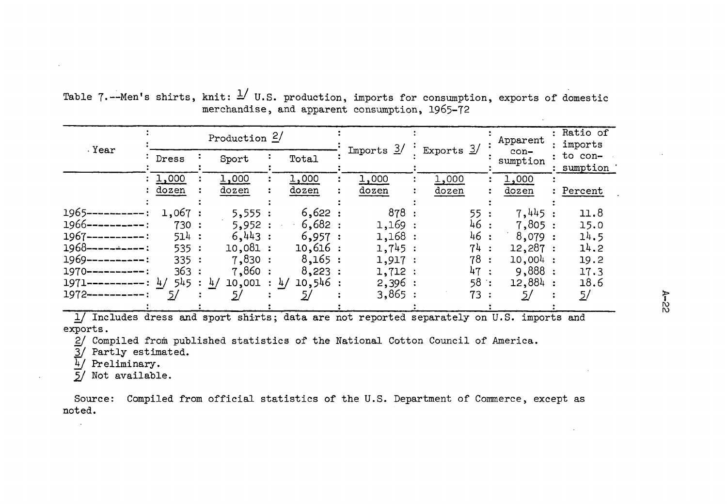| Year                                                                                                                                                                   | Production $2/$<br>Dress<br>Sport                      |  |                                                                     |    | Total                                                                    | $\frac{3}{2}$<br>Imports                                                   |  | Exports $3/$                                              | Apparent<br>con-<br>sumption                                             | : Ratio of<br>imports<br>: to con-<br>: sumption           |
|------------------------------------------------------------------------------------------------------------------------------------------------------------------------|--------------------------------------------------------|--|---------------------------------------------------------------------|----|--------------------------------------------------------------------------|----------------------------------------------------------------------------|--|-----------------------------------------------------------|--------------------------------------------------------------------------|------------------------------------------------------------|
|                                                                                                                                                                        | : 1,000<br>dozen                                       |  | 1,000<br>dozen                                                      |    | 1,000<br>dozen                                                           | 1,000<br>dozen                                                             |  | 1,000<br>dozen                                            | 1,000<br>dozen                                                           | : Percent                                                  |
| 1965-<br>--------!<br>1966-----------<br>$1967$ ----------:<br>$1968$ ----------:<br>1969----------:<br>$1970$ ----------:<br>$1971$ ----------:<br>$1972$ ----------- | 1,067:<br>730 :<br>514:<br>535:<br>335:<br>363:<br>545 |  | 5,555:<br>5,952:<br>6,443:<br>10,081:<br>7,830:<br>7,860:<br>10,001 | 4/ | 6,622:<br>6,682:<br>6,957:<br>$10,616$ :<br>8,165:<br>8,223:<br>10,546 : | 878:<br>1,169:<br>1,168:<br>1,745:<br>1,917:<br>1,712:<br>2,396:<br>3,865: |  | 55:<br>46 :<br>46 :<br>74 :<br>78 :<br>47 :<br>58:<br>73: | 7,445<br>7,805:<br>8,079:<br>12,287:<br>$10,004$ :<br>9,888:<br>12,884 : | 11.8<br>15.0<br>14.5<br>14.2<br>19.2<br>17.3<br>18.6<br>5/ |

Table 7.--Men's shirts, knit:  $\frac{1}{2}$  U.S. production, imports for consumption, exports of domestic merchandise, and apparent consumption, 1965-72

1/ Includes dress and sport shirts; data are not reported separately on U.S. imports and exports.

*gj* Compiled from published statistics of the National Cotton Council of America.

*])* Partly estimated.

 $\frac{1}{4}$ / Preliminary.

 $\overline{5}$ / Not available.

Source: Compiled from official statistics of the U.S. Department of Commerce, except as noted.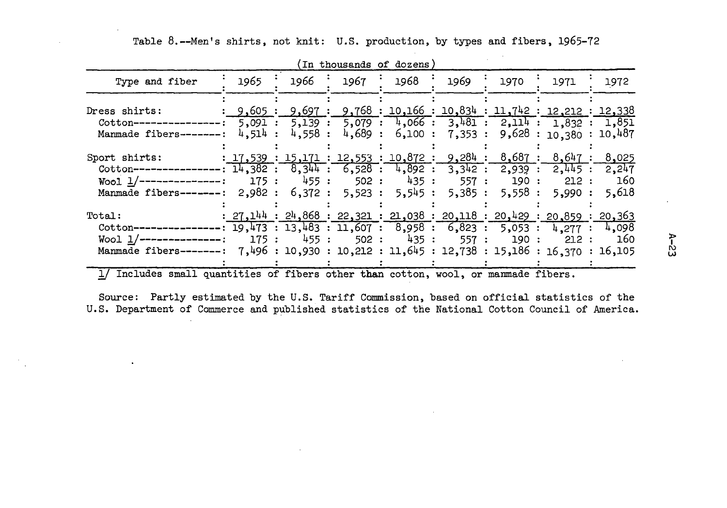|                                                                                                                  |           |      | <u>th</u> onoubands of                                                             |      |      |      |                                                                                               |       |
|------------------------------------------------------------------------------------------------------------------|-----------|------|------------------------------------------------------------------------------------|------|------|------|-----------------------------------------------------------------------------------------------|-------|
| Type and fiber                                                                                                   | 1965      | 1966 | 1967                                                                               | 1968 | 1969 | 1970 | 1971                                                                                          | 1972  |
| Dress shirts:                                                                                                    |           |      |                                                                                    |      |      |      | $9,605: 9,697: 9,768: 10,166: 10,834: 11,742: 12,212: 12,338$                                 |       |
| $\text{Cotton}\text{-}\text{-}\text{-}\text{-}\text{-}\text{-}\text{-}\text{-}\text{-}\text{-}\text{-}\text{-}:$ | 5,091 :   |      |                                                                                    |      |      |      | $5,139:$ $5,079:$ $4,066:$ $3,481:$ $2,114:$ $1,832:$ $1,851$                                 |       |
| Manmade fibers-------:                                                                                           | $4,514$ : |      |                                                                                    |      |      |      | $4,558 : 4,689 : 6,100 : 7,353 : 9,628 : 10,380 : 10,487$                                     |       |
| Sport shirts:                                                                                                    |           |      |                                                                                    |      |      |      | : 17,539 : 15,171 : 12,553 : 10,872 : 9,284 : 8,687 : 8,647 : 8,025                           |       |
| Cotton---------------: 14,382: 8,344: 6,528: 4,892: 3,342: 2,939: 2,445: 2,247                                   |           |      |                                                                                    |      |      |      |                                                                                               |       |
| Wool $1/-$ -------------: 175 :                                                                                  |           |      | 455 : 502 : 435 : 557 :                                                            |      |      |      | 190 : 212 :                                                                                   | 160   |
| Manmade fibers-------: 2,982 : 6,372 : 5,523 : 5,545 : 5,385 : 5,558 : 5,990 :                                   |           |      |                                                                                    |      |      |      |                                                                                               | 5,618 |
| Total:                                                                                                           |           |      |                                                                                    |      |      |      | : $27,1^{14}$ : $2^{1},868$ : $22,321$ : $21,038$ : $20,118$ : $20,429$ : $20,859$ : $20,363$ |       |
| Cotton--------------: 19,473: 13,483: 11,607: 8,958: 6,823: 5,053: 4,277: 4,098                                  |           |      |                                                                                    |      |      |      |                                                                                               |       |
| Wool 1/---------------: 175 : 455 : 502 : 435 : 557 : 190 : 212 :                                                |           |      |                                                                                    |      |      |      |                                                                                               | 160   |
| Manmade fibers-------: 7,496:10,930:10,212:11,645:12,738:15,186:16,370:16,105                                    |           |      |                                                                                    |      |      |      |                                                                                               |       |
|                                                                                                                  |           |      | 1/ Includes small quantities of fibers other than cotton, wool, or manmade fibers. |      |      |      |                                                                                               |       |

{Jn thousands of dozens)

 $\bullet$ 

Source: Partly estimated by the U.S. Tariff Commission, based on official statistics of the U.S. Department of Commerce and published statistics of the National Cotton Council of America.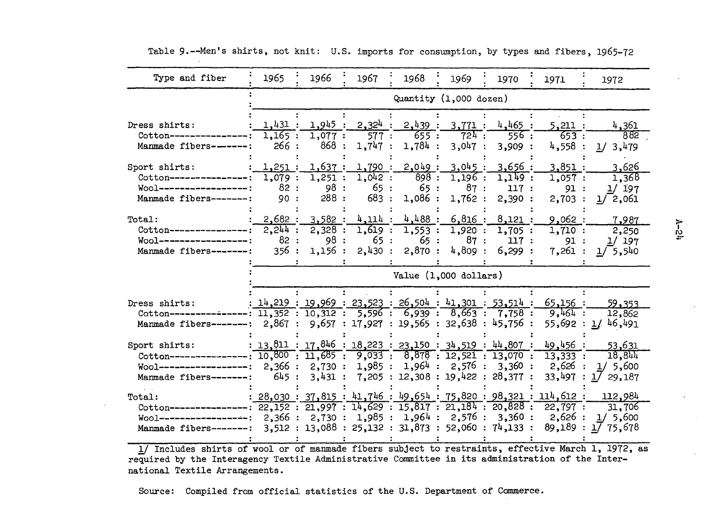| Type and fiber                                                                          | 1965 | 1966  | 1967                                                  | 1968            | 1969                   | 1970   | 1971                                                               | 1972                                                                              |
|-----------------------------------------------------------------------------------------|------|-------|-------------------------------------------------------|-----------------|------------------------|--------|--------------------------------------------------------------------|-----------------------------------------------------------------------------------|
|                                                                                         |      |       |                                                       |                 | Quantity (1,000 dozen) |        |                                                                    |                                                                                   |
| Dress shirts:                                                                           |      |       | $1,431 : 1,945 : 2,324 : 2,439 : 3,771 : 4,465 :$     |                 |                        |        | 5,211:                                                             | 4,361                                                                             |
| Cotton---------------:                                                                  |      |       | 1,165: 1,077: 577: 655:                               |                 | $724$ :                | 556:   | $-653:$                                                            | 882                                                                               |
| Manmade fibers------:                                                                   | 266: | 868 : |                                                       | 1,747 : 1,784 : | 3,047 :                | 3,909: |                                                                    | 4,558 : 1/3,479                                                                   |
| : 1,251 : 1,637 : 1,790 : 2,049 : 3,045 : 3,656 :<br>Sport shirts:                      |      |       |                                                       |                 |                        |        | 3,851:                                                             | 3,626                                                                             |
| $Cotton------------:$                                                                   |      |       | 1,079: 1,251: 1,042: 898: 1,196:                      |                 |                        |        |                                                                    | 1,149: 1,057: 1,368                                                               |
| $Woo1$ ------------------:                                                              | 82 : |       | 98: 65: 65:                                           |                 |                        | 87 :   | 117:<br>91 :                                                       | 1/197                                                                             |
| Manmade fibers-------:                                                                  | 90:  |       | 288: 683: 1,086: 1,762:                               |                 |                        |        | 2,390:2,703:                                                       | 1/2,061                                                                           |
| Total:                                                                                  |      |       | $2,682:$ $3,582:$ $4,114:$ $4,488:$ $6,816:$ $8,121:$ |                 |                        |        | 9,062:                                                             | 7,987                                                                             |
| Cotton---------------                                                                   |      |       |                                                       |                 |                        |        | $2,244: 2,328: 1,619: 1,553: 1,920: 1,705: 1,710:$                 | 2,250                                                                             |
| $Woo1$ ------------------:                                                              |      |       | 82: 98: 65: 65: 87:                                   |                 |                        | 117:   | 91:                                                                | 1/197                                                                             |
| Manmade fibers-------:                                                                  |      |       | 356 : 1,156 : 2,430 : 2,870 :                         |                 | 4,809:                 | 6,299: | 7,261 :                                                            | 1/5,540                                                                           |
|                                                                                         |      |       |                                                       |                 | Value (1,000 dollars)  |        |                                                                    |                                                                                   |
|                                                                                         |      |       |                                                       |                 |                        |        |                                                                    |                                                                                   |
| Dress shirts:                                                                           |      |       |                                                       |                 |                        |        | : $14,219$ : 19,969 : 23,523 : 26,504 : 41,301 : 53,514 : 65,156 : | 59,353                                                                            |
| Cotton----------------: 11,352: 10,312: 5,596: 6,939: 8,663: 7,758: 9,464:              |      |       |                                                       |                 |                        |        |                                                                    | 12,862                                                                            |
| Manmade fibers-------: 2,867: 9,657: 17,927: 19,565: 32,638: 45,756: 55,692: 1/ 46,491  |      |       |                                                       |                 |                        |        |                                                                    |                                                                                   |
| Sport shirts:                                                                           |      |       |                                                       |                 |                        |        |                                                                    | : 13, $811 : 17, 846 : 18, 223 : 23, 150 : 34, 519 : 44, 807 : 49, 456 : 53, 631$ |
| Cotton---------------: 10,800: 11,685: 9,033: 8,878: 12,521: 13,070: 13,333:            |      |       |                                                       |                 |                        |        |                                                                    | 18,844                                                                            |
| $Woo1$ ----------------: 2,366: 2,730: 1,985: 1,964: 2,576: 3,360: 2,626: 1/ 5,600      |      |       |                                                       |                 |                        |        |                                                                    |                                                                                   |
| Manmade fibers-------:                                                                  |      |       | $645: 3,431: 7,205: 12,308: 19,422: 28,377:$          |                 |                        |        |                                                                    | 33,497 : 1729,187                                                                 |
| Total:                                                                                  |      |       |                                                       |                 |                        |        |                                                                    | : 28,030 : 37,815 : 41,746 : 49,654 : 75,820 : 98,321 : 114,612 : 112,984         |
| Cotton--------------: 22,152: 21,997: 14,629: 15,817: 21,184: 20,828: 22,797: 31,706    |      |       |                                                       |                 |                        |        |                                                                    |                                                                                   |
| $Woo1$ ---------------: 2,366: 2,730: 1,985: 1,964: 2,576: 3,360: 2,626: 1/ 5,600       |      |       |                                                       |                 |                        |        |                                                                    |                                                                                   |
| Manmade fibers-------: 3,512: 13,088: 25,132: 31,873: 52,060: 74,133: 89,189: 17 75,678 |      |       |                                                       |                 |                        |        |                                                                    |                                                                                   |

Table 9.--Men's shirts, not knit: U.S. imports for consumption, by types and fibers, 1965-72

*11* Includes shirts of wool or of manmade fibers subject to restraints, effective March 1, 1972, as required by the Interagency Textile Administrative Committee in its administration of the International Textile Arrangements.

Source: Compiled from official statistics of the U.S. Department of Commerce.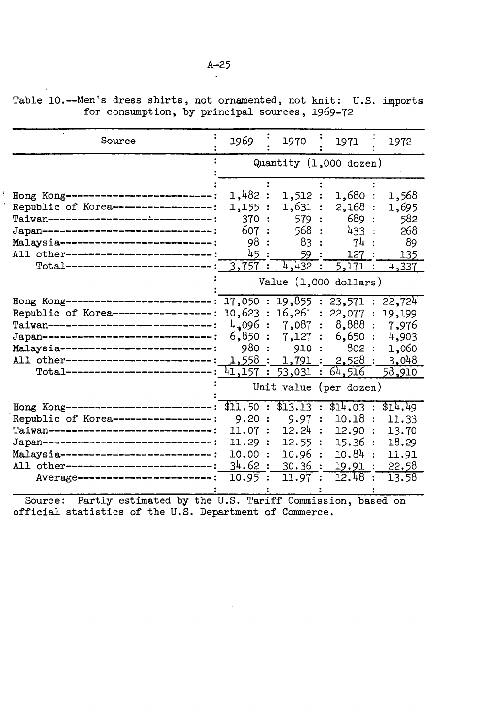| Source                                                                                                                                                                                                                                                                                                                                                                     | 1969                                                        |  | 1970                                                       |  | 1971                                                                                |  | 1972                                                          |  |  |  |  |
|----------------------------------------------------------------------------------------------------------------------------------------------------------------------------------------------------------------------------------------------------------------------------------------------------------------------------------------------------------------------------|-------------------------------------------------------------|--|------------------------------------------------------------|--|-------------------------------------------------------------------------------------|--|---------------------------------------------------------------|--|--|--|--|
|                                                                                                                                                                                                                                                                                                                                                                            | Quantity (1,000 dozen)                                      |  |                                                            |  |                                                                                     |  |                                                               |  |  |  |  |
| Hong Kong--------------------------:<br>Republic of Korea-----------------:<br>Taiwan-------------------------------<br>Japan------------------------------<br>Malaysia---------------------------;<br>All other-------------------------:<br>Total-----------------------------                                                                                           | 1,482:<br>1,155:<br>370:<br>607 :<br>98 :<br>45 :<br>3,757: |  | 1,512:<br>1,631:<br>579 :<br>568:<br>83:<br>59 :<br>4,432: |  | 1,680:<br>2,168:<br>689:<br>433 :<br>74<br>127:<br>5,171:                           |  | 1,568<br>1,695<br>582<br>268<br>89<br>135<br>4,337            |  |  |  |  |
|                                                                                                                                                                                                                                                                                                                                                                            |                                                             |  |                                                            |  | Value (1,000 dollars)                                                               |  |                                                               |  |  |  |  |
| Hong Kong-------------------------: 17,050 : 19,855 : 23,571 : 22,724<br>Republic of Korea-----------------: 10,623 : 16,261 : 22,077 : 19,199<br>Taiwan----------------------------:<br>Japan------------------------------<br>Malaysia----------------------------<br>All other--------------------------: 1,558 :<br>Total--------------------------: 41,157 : 53,031 : | 980 :                                                       |  | 6,850:7,127:<br>910:<br>$1,791$ :                          |  | 4,096:7,087:8,888:<br>6,650 :<br>802:<br>2,528:<br>64,516<br>Unit value (per dozen) |  | 7,976<br>4,903<br>1,060<br>3,048<br>58,910                    |  |  |  |  |
| Hong Kong--------------------------: \$11.50 : \$13.13 : \$14.03 :<br>Republic of Korea------------------:<br>Taiwan-------------------------------<br>Japan------------------------------<br>Malaysia---------------------------:<br>All other--------------------------:<br>Average--------------------------                                                            | 9.20:<br>11.07:<br>11.29:<br>10.00 :<br>10.95:              |  | 9.97:<br>12.24:<br>12.55:<br>10.96:<br>11.97 :             |  | 10.18:<br>12.90:<br>15.36:<br>10.84:<br>34.62 : 30.36 : 19.91 :<br>12.48:           |  | \$14.49<br>11.33<br>13.70<br>18.29<br>11.91<br>22.58<br>13.58 |  |  |  |  |

Table 10.--Men's dress shirts, not ornamented, not knit: U.S. imports for consumption, by principal sources, 1969-72

Source: Partly estimated by the U.S. Tariff Commission, based on official statistics of the U.S. Department of Commerce.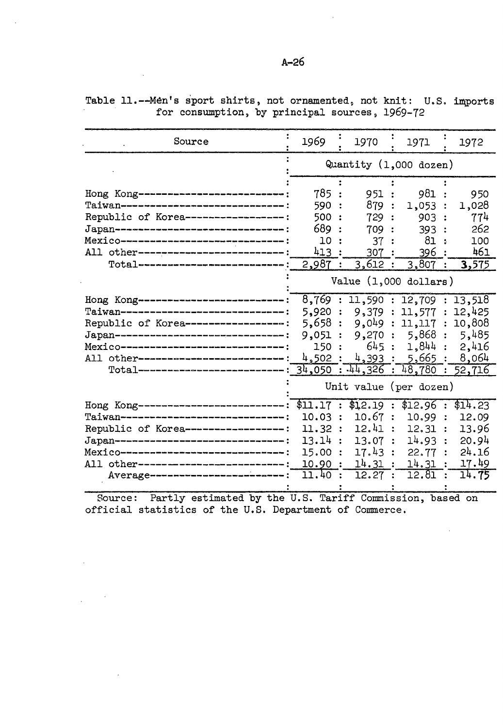| Source                                                                                                                                                                                                                                                                                                             | 1969                                               |           | 1970                                                     | 1971                                                                                                                                               | 1972                                                 |
|--------------------------------------------------------------------------------------------------------------------------------------------------------------------------------------------------------------------------------------------------------------------------------------------------------------------|----------------------------------------------------|-----------|----------------------------------------------------------|----------------------------------------------------------------------------------------------------------------------------------------------------|------------------------------------------------------|
|                                                                                                                                                                                                                                                                                                                    |                                                    |           |                                                          | Quantity (1,000 dozen)                                                                                                                             |                                                      |
| Hong Kong-------------------------;<br>Taiwan--------------------------------<br>Republic of Korea-----------------:<br>Japan------------------------------<br>Mexico-----------------------------<br>All other--------------------------<br>$Total =$ ----------------------------                                | 785 :<br>590<br>500<br>689<br>10<br>413 :<br>2,987 | $\cdot$ : | 951:<br>879 :<br>729:<br>709 :<br>37:<br>307 :<br>3,612: | 981 :<br>1,053:<br>903:<br>393:<br>81 :<br>396 :<br>3,807:<br>Value (1,000 dollars)                                                                | 950<br>1,028<br>774<br>262<br>100<br>461<br>3,575    |
| Hong Kong--------------------------:<br>Taiwan-------------------------------<br>Republic of Korea------------------:<br>Japan------------------------------<br>Mexico------------------------------<br>All other--------------------------<br>Total-------------------------: $34,050 : 44,326 : 48,780 : 52,716$ | 5,658 :<br>9,051:<br>150 :<br>4,502:               |           |                                                          | 8,769 : 11,590 : 12,709 : 13,518<br>5,920 : 9,379 : 11,577 : 12,425<br>9,049 : 11,117 : 10,808<br>9,270:5,868:<br>645: 1,844:<br>$4,393$ : 5,665 : | 5,485<br>2,416<br>8,064                              |
|                                                                                                                                                                                                                                                                                                                    |                                                    |           |                                                          | Unit value (per dozen)                                                                                                                             |                                                      |
| Hong Kong--------------------------- \$11.17 :<br>Taiwan-----------------------------:<br>Republic of Korea------------------:<br>Japan---------------------------------<br>Mexico------------------------------<br>All other-------------------------:                                                            | 10.03:<br>11.32:<br>13.14 :<br>15.00:<br>10.90:    |           | 10.67:<br>12.41:<br>13.07:<br>17.43:                     | \$12.19 : \$12.96 :<br>10.99:<br>12.31:<br>14.93:<br>22.77:<br>14.31 : 14.31 :                                                                     | \$14.23<br>12.09<br>13.96<br>20.94<br>24.16<br>17.49 |
| Average--------------------------                                                                                                                                                                                                                                                                                  | 11.40                                              |           | 12.27 :                                                  | 12.81                                                                                                                                              | 14.75                                                |

Table 11.--Men's sport shirts, not ornamented, not knit: U.S. imports for consumption, by principal sources, 1969-72

Source: Partly estimated by the U.S. Tariff Commission, based on official statistics of the U.S. Department of Commerce.

 $\mathbf{r}$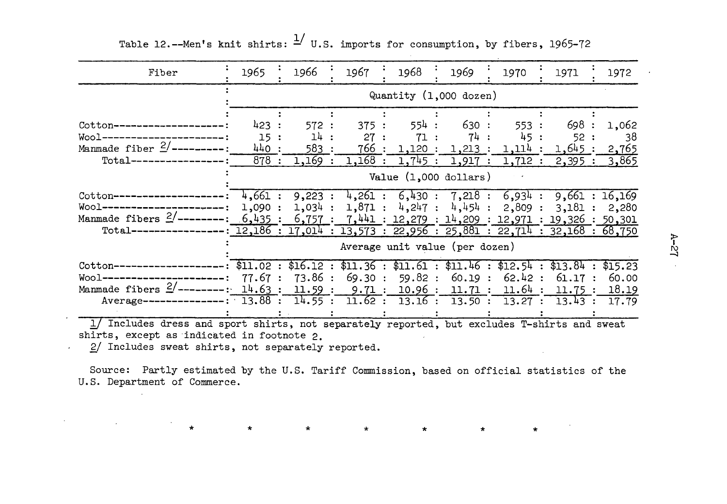| Fiber                                                                                                             | 1965                           | 1966                   |     | 1967                                |  | 1968                                                                                                                                                                                                   |  | 1969                            |  | 1970                       |  | 1971                                      |  | 1972                               |
|-------------------------------------------------------------------------------------------------------------------|--------------------------------|------------------------|-----|-------------------------------------|--|--------------------------------------------------------------------------------------------------------------------------------------------------------------------------------------------------------|--|---------------------------------|--|----------------------------|--|-------------------------------------------|--|------------------------------------|
|                                                                                                                   | Quantity (1,000 dozen)         |                        |     |                                     |  |                                                                                                                                                                                                        |  |                                 |  |                            |  |                                           |  |                                    |
| Cotton--------------<br>Wool--------<br>Manmade fiber $2/$ ---------<br>$Total-----$                              | 423:<br>15:<br>440:<br>878:    | 572:<br>583:<br>1,169: | 14: | 375:<br>27:<br>1,168:               |  | 554:<br>71:<br>766 : 1,120 :<br>1,745:                                                                                                                                                                 |  | 630:<br>74 :<br>1,213:<br>1,917 |  | 553:<br>45:<br>1,712:      |  | 698 :<br>52:<br>1,114 : 1,645 :<br>2,395: |  | 1,062<br>- 38<br>2,765<br>3,865    |
|                                                                                                                   | Value (1,000 dollars)          |                        |     |                                     |  |                                                                                                                                                                                                        |  |                                 |  |                            |  |                                           |  |                                    |
| Cotton----------<br>$Woo1$ ---------<br>Manmade fibers $2/$ -------<br>$Total-----$                               | 4,661:<br>1,090:<br>.6,435:    | 9,223:<br>$1,034$ :    |     | 1,871 :                             |  | $4,261 : 6,430 : 7,218 : 6,934 : 9,661 : 16,169$<br>4,247 :<br>$6,757 : 7,441 : 12,279 : 14,209 : 12,971 : 19,326 : 50,301$<br>$12,186 : 17,014 : 13,573 : 22,956 : 25,881 : 22,714 : 32,168 : 68,750$ |  |                                 |  | 4,454:2,809:               |  | 3,181:                                    |  | 2,280                              |
|                                                                                                                   |                                |                        |     |                                     |  | Average unit value (per dozen)                                                                                                                                                                         |  |                                 |  |                            |  |                                           |  |                                    |
| $Cotton-----$<br>$Wood$ ----------------------- 77.67 :<br>Manmade fibers $2/$ --------:<br>$Average------------$ | : \$11.02:<br>14.63:<br>13.88: | 73.86:<br>14.55:       |     | 69.30 :<br>11.59 : 9.71 :<br>11.62: |  | $$16.12$ : $$11.36$ : $$11.61$ : $$11.46$ : $$12.54$ : $$13.84$ :<br>59.82:<br>10.96: 11.71:<br>13.16:                                                                                                 |  | 60.19:<br>13.50:                |  | 62.42:<br>11.64:<br>13.27: |  | 61.17:<br>11.75:<br>13.43:                |  | \$15.23<br>60.00<br>18.19<br>17.79 |
| Includes dress and sport shirts, not separately reported, but excludes T-shirts and sweat                         |                                |                        |     |                                     |  |                                                                                                                                                                                                        |  |                                 |  |                            |  |                                           |  |                                    |

Table 12.--Men's knit shirts:  $\frac{1}{s}$  U.S. imports for consumption, by fibers, 1965-72

shirts, except as indicated in footnote 2.  $\mathcal{L}$ 

2/ Includes sweat shirts, not separately reported.

 $\mathcal{F}^{\mathcal{A}}_{\mathcal{A}}$  and  $\mathcal{F}^{\mathcal{A}}_{\mathcal{A}}$  are the set of the set of the set of  $\mathcal{A}$ 

Source: Partly estimated by the U.S. Tariff Commission, based on official statistics of the U.S. Department of Commerce.

\* \* \* \* \* \* \*

 $2\overline{z}$